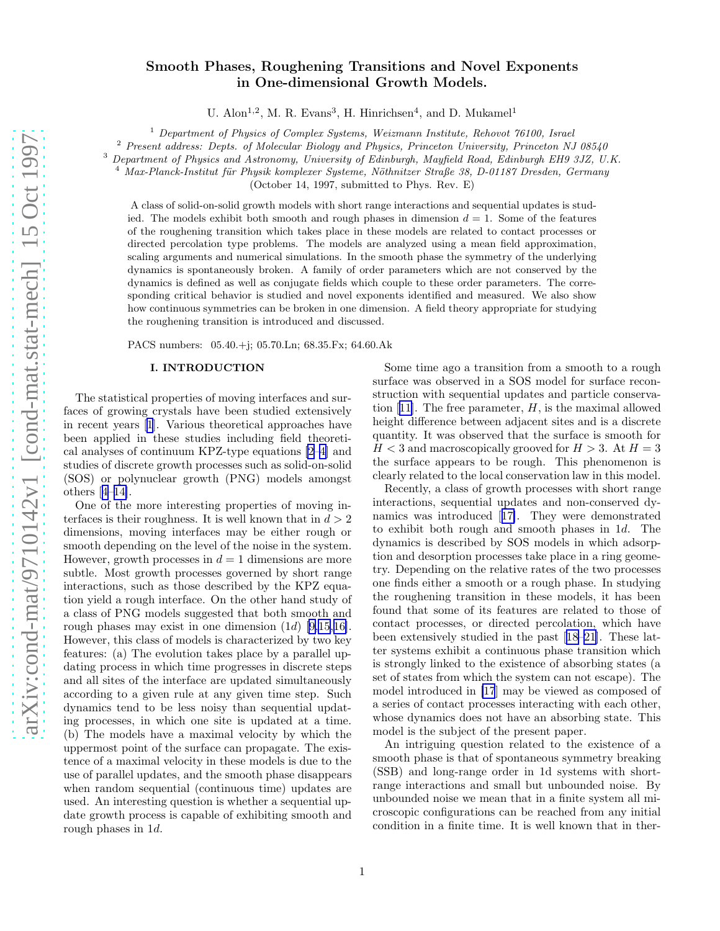# Smooth Phases, Roughening Transitions and Novel Exponents in One-dimensional Growth Models.

U. Alon<sup>1,2</sup>, M. R. Evans<sup>3</sup>, H. Hinrichsen<sup>4</sup>, and D. Mukamel<sup>1</sup>

<sup>1</sup> *Department of Physics of Complex Systems, Weizmann Institute, Rehovot 76100, Israel*

<sup>2</sup> *Present address: Depts. of Molecular Biology and Physics, Princeton University, Princeton NJ 08540*

<sup>3</sup> *Department of Physics and Astronomy, University of Edinburgh, Mayfield Road, Edinburgh EH9 3JZ, U.K.*

<sup>4</sup> Max-Planck-Institut für Physik komplexer Systeme, Nöthnitzer Straße 38, D-01187 Dresden, Germany

(October 14, 1997, submitted to Phys. Rev. E)

A class of solid-on-solid growth models with short range interactions and sequential updates is studied. The models exhibit both smooth and rough phases in dimension  $d = 1$ . Some of the features of the roughening transition which takes place in these models are related to contact processes or directed percolation type problems. The models are analyzed using a mean field approximation, scaling arguments and numerical simulations. In the smooth phase the symmetry of the underlying dynamics is spontaneously broken. A family of order parameters which are not conserved by the dynamics is defined as well as conjugate fields which couple to these order parameters. The corresponding critical behavior is studied and novel exponents identified and measured. We also show how continuous symmetries can be broken in one dimension. A field theory appropriate for studying the roughening transition is introduced and discussed.

PACS numbers: 05.40.+j; 05.70.Ln; 68.35.Fx; 64.60.Ak

## I. INTRODUCTION

The statistical properties of moving interfaces and surfaces of growing crystals have been studied extensively in recent years [\[1](#page-16-0)]. Various theoretical approaches have been applied in these studies including field theoretical analyses of continuum KPZ-type equations [\[2–4](#page-16-0)] and studies of discrete growth processes such as solid-on-solid (SOS) or polynuclear growth (PNG) models amongst others[[4–14\]](#page-16-0).

One of the more interesting properties of moving interfaces is their roughness. It is well known that in  $d > 2$ dimensions, moving interfaces may be either rough or smooth depending on the level of the noise in the system. However, growth processes in  $d = 1$  dimensions are more subtle. Most growth processes governed by short range interactions, such as those described by the KPZ equation yield a rough interface. On the other hand study of a class of PNG models suggested that both smooth and rough phases may exist in one dimension  $(1d)$  [\[9](#page-16-0),[15,16\]](#page-16-0). However, this class of models is characterized by two key features: (a) The evolution takes place by a parallel updating process in which time progresses in discrete steps and all sites of the interface are updated simultaneously according to a given rule at any given time step. Such dynamics tend to be less noisy than sequential updating processes, in which one site is updated at a time. (b) The models have a maximal velocity by which the uppermost point of the surface can propagate. The existence of a maximal velocity in these models is due to the use of parallel updates, and the smooth phase disappears when random sequential (continuous time) updates are used. An interesting question is whether a sequential update growth process is capable of exhibiting smooth and rough phases in 1d.

Some time ago a transition from a smooth to a rough surface was observed in a SOS model for surface reconstruction with sequential updates and particle conserva-tion[[11\]](#page-16-0). The free parameter,  $H$ , is the maximal allowed height difference between adjacent sites and is a discrete quantity. It was observed that the surface is smooth for  $H < 3$  and macroscopically grooved for  $H > 3$ . At  $H = 3$ the surface appears to be rough. This phenomenon is clearly related to the local conservation law in this model.

Recently, a class of growth processes with short range interactions, sequential updates and non-conserved dynamics was introduced[[17\]](#page-16-0). They were demonstrated to exhibit both rough and smooth phases in 1d. The dynamics is described by SOS models in which adsorption and desorption processes take place in a ring geometry. Depending on the relative rates of the two processes one finds either a smooth or a rough phase. In studying the roughening transition in these models, it has been found that some of its features are related to those of contact processes, or directed percolation, which have been extensively studied in the past[[18–21\]](#page-16-0). These latter systems exhibit a continuous phase transition which is strongly linked to the existence of absorbing states (a set of states from which the system can not escape). The model introduced in [\[17](#page-16-0)] may be viewed as composed of a series of contact processes interacting with each other, whose dynamics does not have an absorbing state. This model is the subject of the present paper.

An intriguing question related to the existence of a smooth phase is that of spontaneous symmetry breaking (SSB) and long-range order in 1d systems with shortrange interactions and small but unbounded noise. By unbounded noise we mean that in a finite system all microscopic configurations can be reached from any initial condition in a finite time. It is well known that in ther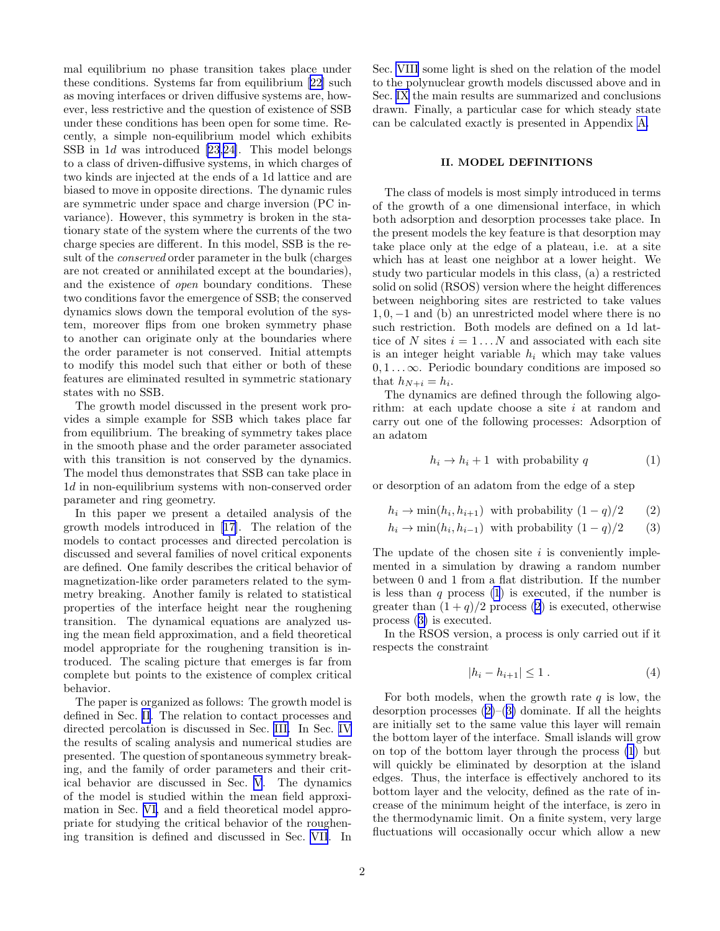<span id="page-1-0"></span>mal equilibrium no phase transition takes place under these conditions. Systems far from equilibrium[[22\]](#page-16-0) such as moving interfaces or driven diffusive systems are, however, less restrictive and the question of existence of SSB under these conditions has been open for some time. Recently, a simple non-equilibrium model which exhibits SSB in 1d was introduced[[23](#page-17-0),[24\]](#page-17-0). This model belongs to a class of driven-diffusive systems, in which charges of two kinds are injected at the ends of a 1d lattice and are biased to move in opposite directions. The dynamic rules are symmetric under space and charge inversion (PC invariance). However, this symmetry is broken in the stationary state of the system where the currents of the two charge species are different. In this model, SSB is the result of the conserved order parameter in the bulk (charges are not created or annihilated except at the boundaries), and the existence of open boundary conditions. These two conditions favor the emergence of SSB; the conserved dynamics slows down the temporal evolution of the system, moreover flips from one broken symmetry phase to another can originate only at the boundaries where the order parameter is not conserved. Initial attempts to modify this model such that either or both of these features are eliminated resulted in symmetric stationary states with no SSB.

The growth model discussed in the present work provides a simple example for SSB which takes place far from equilibrium. The breaking of symmetry takes place in the smooth phase and the order parameter associated with this transition is not conserved by the dynamics. The model thus demonstrates that SSB can take place in 1d in non-equilibrium systems with non-conserved order parameter and ring geometry.

In this paper we present a detailed analysis of the growth models introduced in[[17](#page-16-0)]. The relation of the models to contact processes and directed percolation is discussed and several families of novel critical exponents are defined. One family describes the critical behavior of magnetization-like order parameters related to the symmetry breaking. Another family is related to statistical properties of the interface height near the roughening transition. The dynamical equations are analyzed using the mean field approximation, and a field theoretical model appropriate for the roughening transition is introduced. The scaling picture that emerges is far from complete but points to the existence of complex critical behavior.

The paper is organized as follows: The growth model is defined in Sec. II. The relation to contact processes and directed percolation is discussed in Sec. [III.](#page-3-0) In Sec. [IV](#page-3-0) the results of scaling analysis and numerical studies are presented. The question of spontaneous symmetry breaking, and the family of order parameters and their critical behavior are discussed in Sec. [V](#page-9-0). The dynamics of the model is studied within the mean field approximation in Sec. [VI,](#page-11-0) and a field theoretical model appropriate for studying the critical behavior of the roughening transition is defined and discussed in Sec. [VII](#page-12-0). In Sec. [VIII](#page-14-0) some light is shed on the relation of the model to the polynuclear growth models discussed above and in Sec. [IX](#page-14-0) the main results are summarized and conclusions drawn. Finally, a particular case for which steady state can be calculated exactly is presented in Appendix [A.](#page-15-0)

#### II. MODEL DEFINITIONS

The class of models is most simply introduced in terms of the growth of a one dimensional interface, in which both adsorption and desorption processes take place. In the present models the key feature is that desorption may take place only at the edge of a plateau, i.e. at a site which has at least one neighbor at a lower height. We study two particular models in this class, (a) a restricted solid on solid (RSOS) version where the height differences between neighboring sites are restricted to take values 1, 0, −1 and (b) an unrestricted model where there is no such restriction. Both models are defined on a 1d lattice of N sites  $i = 1...N$  and associated with each site is an integer height variable  $h_i$  which may take values  $0, 1...$  $\infty$ . Periodic boundary conditions are imposed so that  $h_{N+i} = h_i$ .

The dynamics are defined through the following algorithm: at each update choose a site  $i$  at random and carry out one of the following processes: Adsorption of an adatom

$$
h_i \to h_i + 1 \quad \text{with probability } q \tag{1}
$$

or desorption of an adatom from the edge of a step

$$
h_i \to \min(h_i, h_{i+1}) \text{ with probability } (1-q)/2 \qquad (2)
$$

$$
h_i \to \min(h_i, h_{i-1}) \text{ with probability } (1-q)/2 \qquad (3)
$$

The update of the chosen site  $i$  is conveniently implemented in a simulation by drawing a random number between 0 and 1 from a flat distribution. If the number is less than  $q$  process  $(1)$  is executed, if the number is greater than  $(1+q)/2$  process (2) is executed, otherwise process (3) is executed.

In the RSOS version, a process is only carried out if it respects the constraint

$$
|h_i - h_{i+1}| \le 1.
$$
 (4)

For both models, when the growth rate  $q$  is low, the desorption processes  $(2)$ – $(3)$  dominate. If all the heights are initially set to the same value this layer will remain the bottom layer of the interface. Small islands will grow on top of the bottom layer through the process (1) but will quickly be eliminated by desorption at the island edges. Thus, the interface is effectively anchored to its bottom layer and the velocity, defined as the rate of increase of the minimum height of the interface, is zero in the thermodynamic limit. On a finite system, very large fluctuations will occasionally occur which allow a new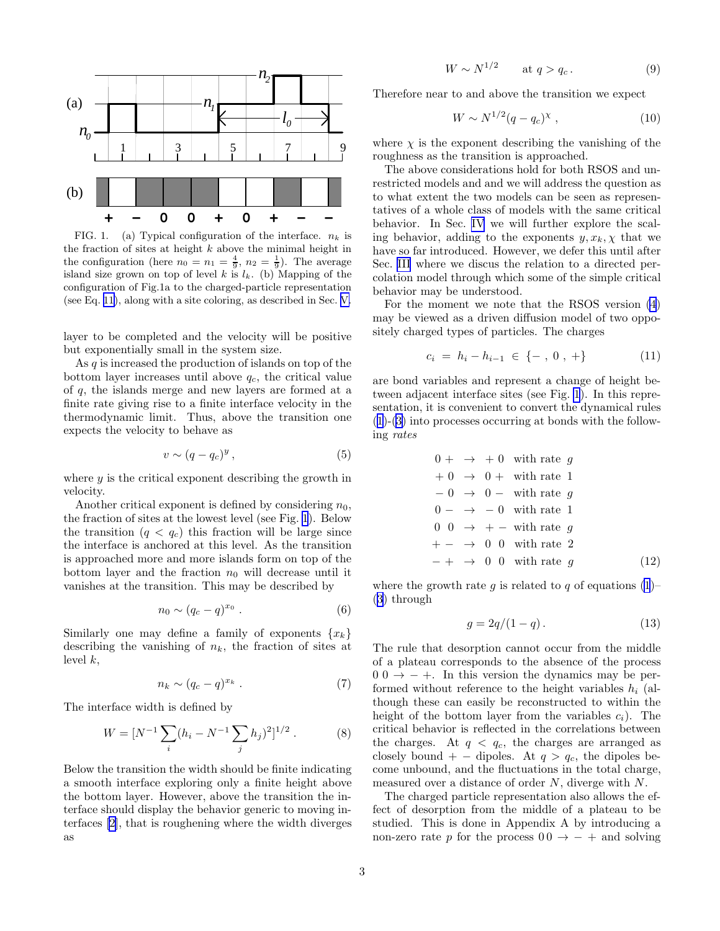<span id="page-2-0"></span>

FIG. 1. (a) Typical configuration of the interface.  $n_k$  is the fraction of sites at height  $k$  above the minimal height in the configuration (here  $n_0 = n_1 = \frac{4}{9}$ ,  $n_2 = \frac{1}{9}$ ). The average island size grown on top of level k is  $l_k$ . (b) Mapping of the configuration of Fig.1a to the charged-particle representation (see Eq. 11), along with a site coloring, as described in Sec. [V.](#page-9-0)

layer to be completed and the velocity will be positive but exponentially small in the system size.

As q is increased the production of islands on top of the bottom layer increases until above  $q_c$ , the critical value of q, the islands merge and new layers are formed at a finite rate giving rise to a finite interface velocity in the thermodynamic limit. Thus, above the transition one expects the velocity to behave as

$$
v \sim (q - q_c)^y , \qquad (5)
$$

where  $y$  is the critical exponent describing the growth in velocity.

Another critical exponent is defined by considering  $n_0$ , the fraction of sites at the lowest level (see Fig. 1). Below the transition  $(q < q_c)$  this fraction will be large since the interface is anchored at this level. As the transition is approached more and more islands form on top of the bottom layer and the fraction  $n_0$  will decrease until it vanishes at the transition. This may be described by

$$
n_0 \sim (q_c - q)^{x_0} \tag{6}
$$

Similarly one may define a family of exponents  $\{x_k\}$ describing the vanishing of  $n_k$ , the fraction of sites at level  $k$ ,

$$
n_k \sim (q_c - q)^{x_k} . \tag{7}
$$

The interface width is defined by

$$
W = [N^{-1} \sum_{i} (h_i - N^{-1} \sum_{j} h_j)^2]^{1/2} . \tag{8}
$$

Below the transition the width should be finite indicating a smooth interface exploring only a finite height above the bottom layer. However, above the transition the interface should display the behavior generic to moving interfaces [\[2](#page-16-0)], that is roughening where the width diverges as

$$
W \sim N^{1/2} \qquad \text{at } q > q_c. \tag{9}
$$

Therefore near to and above the transition we expect

$$
W \sim N^{1/2} (q - q_c)^\chi \,, \tag{10}
$$

where  $\chi$  is the exponent describing the vanishing of the roughness as the transition is approached.

The above considerations hold for both RSOS and unrestricted models and and we will address the question as to what extent the two models can be seen as representatives of a whole class of models with the same critical behavior. In Sec. [IV](#page-3-0) we will further explore the scaling behavior, adding to the exponents  $y, x_k, \chi$  that we have so far introduced. However, we defer this until after Sec. [III](#page-3-0) where we discus the relation to a directed percolation model through which some of the simple critical behavior may be understood.

For the moment we note that the RSOS version [\(4](#page-1-0)) may be viewed as a driven diffusion model of two oppositely charged types of particles. The charges

$$
c_i = h_i - h_{i-1} \in \{-\,,\,0\,,\,+\} \tag{11}
$$

are bond variables and represent a change of height between adjacent interface sites (see Fig. 1). In this representation, it is convenient to convert the dynamical rules ([1\)](#page-1-0)-([3](#page-1-0)) into processes occurring at bonds with the following rates

$$
0 + \rightarrow +0 \text{ with rate } g
$$
  
\n
$$
+0 \rightarrow 0 + \text{ with rate } 1
$$
  
\n
$$
-0 \rightarrow 0 - \text{ with rate } g
$$
  
\n
$$
0 - \rightarrow -0 \text{ with rate } 1
$$
  
\n
$$
0 0 \rightarrow + - \text{ with rate } g
$$
  
\n
$$
+ - \rightarrow 0 0 \text{ with rate } g
$$
  
\n
$$
- + \rightarrow 0 0 \text{ with rate } g
$$
  
\n(12)

where the growth rate g is related to q of equations  $(1)$ – ([3\)](#page-1-0) through

$$
g = 2q/(1-q). \t\t(13)
$$

The rule that desorption cannot occur from the middle of a plateau corresponds to the absence of the process  $0.0 \rightarrow -+$ . In this version the dynamics may be performed without reference to the height variables  $h_i$  (although these can easily be reconstructed to within the height of the bottom layer from the variables  $c_i$ ). The critical behavior is reflected in the correlations between the charges. At  $q < q_c$ , the charges are arranged as closely bound + − dipoles. At  $q > q_c$ , the dipoles become unbound, and the fluctuations in the total charge, measured over a distance of order N, diverge with N.

The charged particle representation also allows the effect of desorption from the middle of a plateau to be studied. This is done in Appendix A by introducing a non-zero rate p for the process  $00 \rightarrow - +$  and solving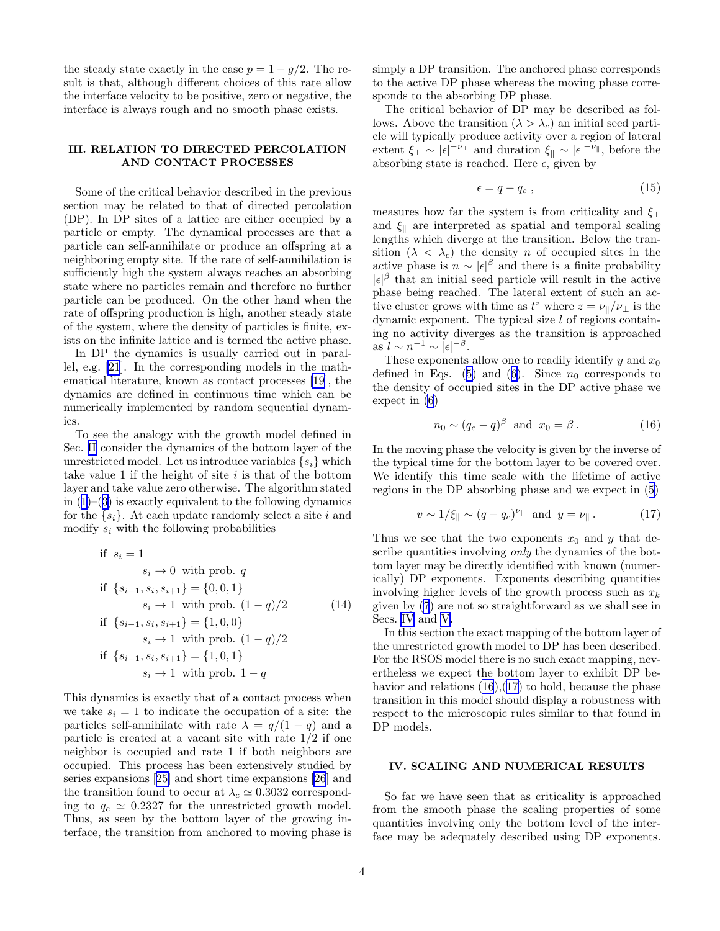<span id="page-3-0"></span>the steady state exactly in the case  $p = 1 - g/2$ . The result is that, although different choices of this rate allow the interface velocity to be positive, zero or negative, the interface is always rough and no smooth phase exists.

## III. RELATION TO DIRECTED PERCOLATION AND CONTACT PROCESSES

Some of the critical behavior described in the previous section may be related to that of directed percolation (DP). In DP sites of a lattice are either occupied by a particle or empty. The dynamical processes are that a particle can self-annihilate or produce an offspring at a neighboring empty site. If the rate of self-annihilation is sufficiently high the system always reaches an absorbing state where no particles remain and therefore no further particle can be produced. On the other hand when the rate of offspring production is high, another steady state of the system, where the density of particles is finite, exists on the infinite lattice and is termed the active phase.

In DP the dynamics is usually carried out in parallel, e.g. [\[21](#page-16-0)]. In the corresponding models in the mathematical literature, known as contact processes [\[19](#page-16-0)], the dynamics are defined in continuous time which can be numerically implemented by random sequential dynamics.

To see the analogy with the growth model defined in Sec. [II](#page-1-0) consider the dynamics of the bottom layer of the unrestricted model. Let us introduce variables  $\{s_i\}$  which take value 1 if the height of site  $i$  is that of the bottom layer and take value zero otherwise. The algorithm stated in  $(1)$ – $(3)$  $(3)$  is exactly equivalent to the following dynamics for the  $\{s_i\}$ . At each update randomly select a site i and modify  $s_i$  with the following probabilities

if 
$$
s_i = 1
$$
  
\n $s_i \to 0$  with prob. q  
\nif  $\{s_{i-1}, s_i, s_{i+1}\} = \{0, 0, 1\}$   
\n $s_i \to 1$  with prob.  $(1 - q)/2$  (14)  
\nif  $\{s_{i-1}, s_i, s_{i+1}\} = \{1, 0, 0\}$   
\n $s_i \to 1$  with prob.  $(1 - q)/2$ 

if 
$$
\{s_{i-1}, s_i, s_{i+1}\} = \{1, 0, 1\}
$$
  
 $s_i \to 1$  with prob.  $1 - q$ 

This dynamics is exactly that of a contact process when we take  $s_i = 1$  to indicate the occupation of a site: the particles self-annihilate with rate  $\lambda = q/(1-q)$  and a particle is created at a vacant site with rate 1/2 if one neighbor is occupied and rate 1 if both neighbors are occupied. This process has been extensively studied by series expansions[[25\]](#page-17-0) and short time expansions [\[26](#page-17-0)] and the transition found to occur at  $\lambda_c \simeq 0.3032$  corresponding to  $q_c \approx 0.2327$  for the unrestricted growth model. Thus, as seen by the bottom layer of the growing interface, the transition from anchored to moving phase is simply a DP transition. The anchored phase corresponds to the active DP phase whereas the moving phase corresponds to the absorbing DP phase.

The critical behavior of DP may be described as follows. Above the transition  $(\lambda > \lambda_c)$  an initial seed particle will typically produce activity over a region of lateral extent  $\xi_{\perp} \sim |\epsilon|^{-\nu_{\perp}}$  and duration  $\xi_{\parallel} \sim |\epsilon|^{-\nu_{\parallel}}$ , before the absorbing state is reached. Here  $\epsilon$ , given by

$$
\epsilon = q - q_c \,,\tag{15}
$$

measures how far the system is from criticality and  $\xi_{\perp}$ and  $\xi_{\parallel}$  are interpreted as spatial and temporal scaling lengths which diverge at the transition. Below the transition  $(\lambda \langle \lambda_c \rangle)$  the density n of occupied sites in the active phase is  $n \sim |\epsilon|^{\beta}$  and there is a finite probability  $|\epsilon|^{\beta}$  that an initial seed particle will result in the active phase being reached. The lateral extent of such an active cluster grows with time as  $t^z$  where  $z = \nu_{\parallel}/\nu_{\perp}$  is the dynamic exponent. The typical size l of regions containing no activity diverges as the transition is approached as  $l \sim n^{-1} \sim |\epsilon|^{-\beta}$ .

These exponents allow one to readily identify  $y$  and  $x_0$ definedin Eqs. ([5\)](#page-2-0) and ([6\)](#page-2-0). Since  $n_0$  corresponds to the density of occupied sites in the DP active phase we expect in [\(6](#page-2-0))

$$
n_0 \sim (q_c - q)^{\beta} \text{ and } x_0 = \beta. \tag{16}
$$

In the moving phase the velocity is given by the inverse of the typical time for the bottom layer to be covered over. We identify this time scale with the lifetime of active regions in the DP absorbing phase and we expect in([5\)](#page-2-0)

$$
v \sim 1/\xi_{\parallel} \sim (q - q_c)^{\nu_{\parallel}} \text{ and } y = \nu_{\parallel}. \tag{17}
$$

Thus we see that the two exponents  $x_0$  and y that describe quantities involving *only* the dynamics of the bottom layer may be directly identified with known (numerically) DP exponents. Exponents describing quantities involving higher levels of the growth process such as  $x_k$ given by [\(7](#page-2-0)) are not so straightforward as we shall see in Secs. IV and [V.](#page-9-0)

In this section the exact mapping of the bottom layer of the unrestricted growth model to DP has been described. For the RSOS model there is no such exact mapping, nevertheless we expect the bottom layer to exhibit DP behavior and relations  $(16),(17)$  to hold, because the phase transition in this model should display a robustness with respect to the microscopic rules similar to that found in DP models.

## IV. SCALING AND NUMERICAL RESULTS

So far we have seen that as criticality is approached from the smooth phase the scaling properties of some quantities involving only the bottom level of the interface may be adequately described using DP exponents.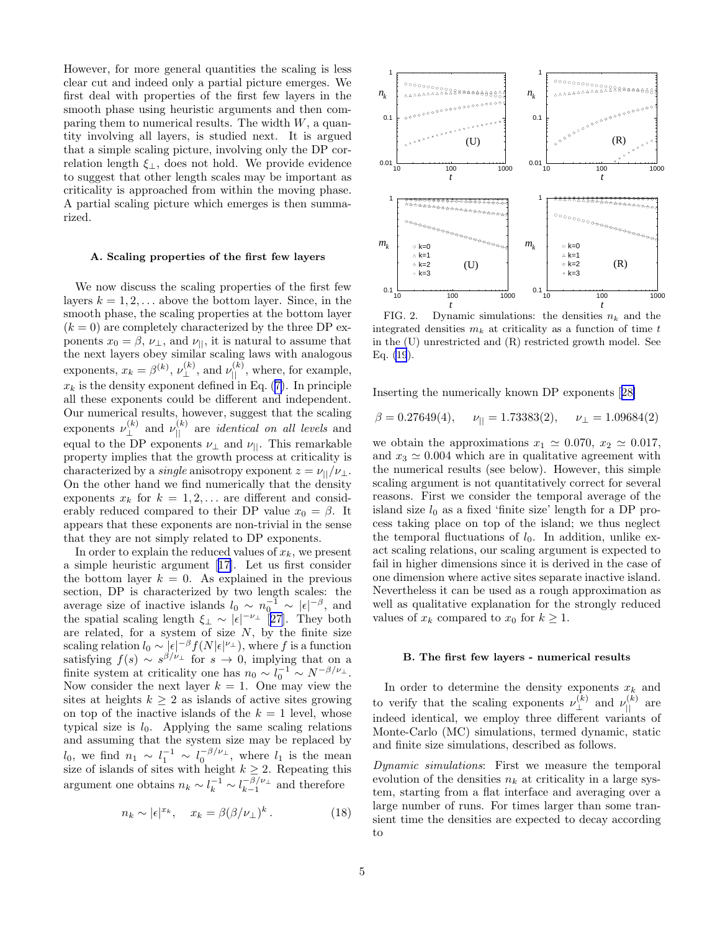<span id="page-4-0"></span>However, for more general quantities the scaling is less clear cut and indeed only a partial picture emerges. We first deal with properties of the first few layers in the smooth phase using heuristic arguments and then comparing them to numerical results. The width  $W$ , a quantity involving all layers, is studied next. It is argued that a simple scaling picture, involving only the DP correlation length  $\xi_{\perp}$ , does not hold. We provide evidence to suggest that other length scales may be important as criticality is approached from within the moving phase. A partial scaling picture which emerges is then summarized.

### A. Scaling properties of the first few layers

We now discuss the scaling properties of the first few layers  $k = 1, 2, \ldots$  above the bottom layer. Since, in the smooth phase, the scaling properties at the bottom layer  $(k = 0)$  are completely characterized by the three DP exponents  $x_0 = \beta$ ,  $\nu_{\perp}$ , and  $\nu_{\parallel}$ , it is natural to assume that the next layers obey similar scaling laws with analogous exponents,  $x_k = \beta^{(k)}$ ,  $\nu_{\perp}^{(k)}$ , and  $\nu_{||}^{(k)}$ , where, for example,  $x_k$ is the density exponent defined in Eq. ([7\)](#page-2-0). In principle all these exponents could be different and independent. Our numerical results, however, suggest that the scaling exponents  $\nu_{\perp}^{(k)}$  and  $\nu_{\parallel}^{(k)}$  are *identical on all levels* and equal to the DP exponents  $\nu_{\perp}$  and  $\nu_{\parallel}$ . This remarkable property implies that the growth process at criticality is characterized by a *single* anisotropy exponent  $z = \nu_{||}/\nu_{\perp}$ . On the other hand we find numerically that the density exponents  $x_k$  for  $k = 1, 2, \ldots$  are different and considerably reduced compared to their DP value  $x_0 = \beta$ . It appears that these exponents are non-trivial in the sense that they are not simply related to DP exponents.

In order to explain the reduced values of  $x_k$ , we present a simple heuristic argument[[17\]](#page-16-0). Let us first consider the bottom layer  $k = 0$ . As explained in the previous section, DP is characterized by two length scales: the average size of inactive islands  $l_0 \sim n_0^{-1} \sim |\epsilon|^{-\beta}$ , and the spatial scaling length  $\xi_{\perp} \sim |\epsilon|^{-\nu_{\perp}}$  [[27\]](#page-17-0). They both are related, for a system of size  $N$ , by the finite size scaling relation  $l_0 \sim |\epsilon|^{-\beta} f(N|\epsilon|^{\nu_{\perp}})$ , where f is a function satisfying  $f(s) \sim s^{\beta/\nu_{\perp}}$  for  $s \to 0$ , implying that on a finite system at criticality one has  $n_0 \sim l_0^{-1} \sim N^{-\beta/\nu_{\perp}}$ . Now consider the next layer  $k = 1$ . One may view the sites at heights  $k \geq 2$  as islands of active sites growing on top of the inactive islands of the  $k = 1$  level, whose typical size is  $l_0$ . Applying the same scaling relations and assuming that the system size may be replaced by  $l_0$ , we find  $n_1 \sim l_1^{-1} \sim l_0^{-\beta/\nu_{\perp}}$ , where  $l_1$  is the mean size of islands of sites with height  $k \geq 2$ . Repeating this argument one obtains  $n_k \sim l_k^{-1} \sim l_{k-1}^{-\beta/\nu_{\perp}}$  and therefore

$$
n_k \sim |\epsilon|^{x_k}, \quad x_k = \beta (\beta/\nu_\perp)^k. \tag{18}
$$



FIG. 2. Dynamic simulations: the densities  $n_k$  and the integrated densities  $m_k$  at criticality as a function of time t in the (U) unrestricted and (R) restricted growth model. See Eq. [\(19](#page-5-0)).

Inserting the numerically known DP exponents[[28\]](#page-17-0)

$$
\beta = 0.27649(4), \quad \nu_{\parallel} = 1.73383(2), \quad \nu_{\perp} = 1.09684(2)
$$

we obtain the approximations  $x_1 \approx 0.070$ ,  $x_2 \approx 0.017$ , and  $x_3 \approx 0.004$  which are in qualitative agreement with the numerical results (see below). However, this simple scaling argument is not quantitatively correct for several reasons. First we consider the temporal average of the island size  $l_0$  as a fixed 'finite size' length for a DP process taking place on top of the island; we thus neglect the temporal fluctuations of  $l_0$ . In addition, unlike exact scaling relations, our scaling argument is expected to fail in higher dimensions since it is derived in the case of one dimension where active sites separate inactive island. Nevertheless it can be used as a rough approximation as well as qualitative explanation for the strongly reduced values of  $x_k$  compared to  $x_0$  for  $k \geq 1$ .

### B. The first few layers - numerical results

In order to determine the density exponents  $x_k$  and to verify that the scaling exponents  $\nu_{\perp}^{(k)}$  and  $\nu_{||}^{(k)}$  are indeed identical, we employ three different variants of Monte-Carlo (MC) simulations, termed dynamic, static and finite size simulations, described as follows.

Dynamic simulations: First we measure the temporal evolution of the densities  $n_k$  at criticality in a large system, starting from a flat interface and averaging over a large number of runs. For times larger than some transient time the densities are expected to decay according to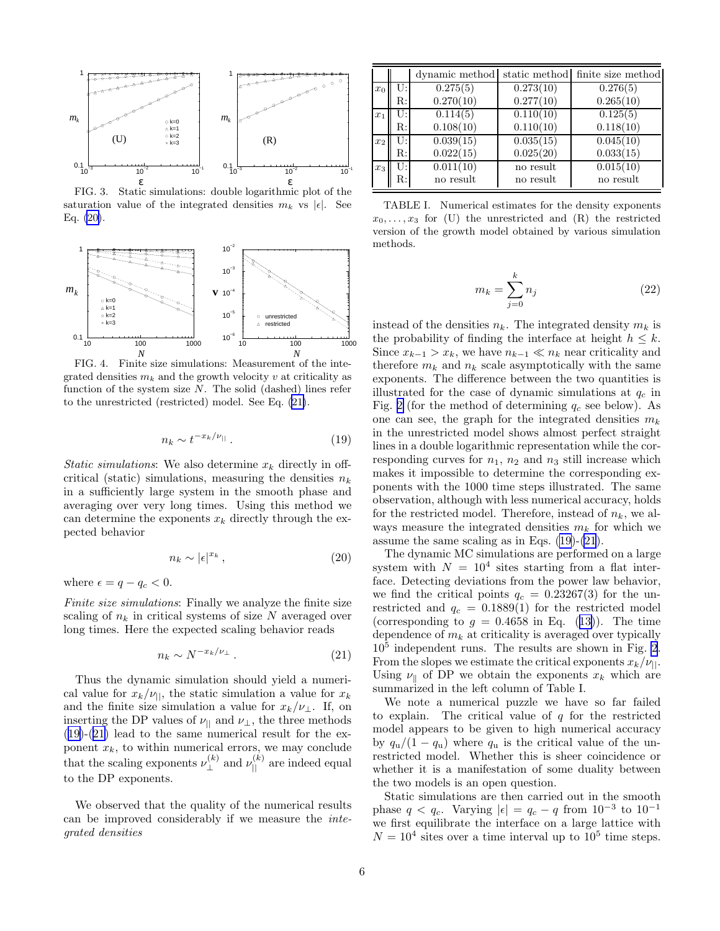<span id="page-5-0"></span>

FIG. 3. Static simulations: double logarithmic plot of the saturation value of the integrated densities  $m_k$  vs  $|\epsilon|$ . See Eq. (20).



FIG. 4. Finite size simulations: Measurement of the integrated densities  $m_k$  and the growth velocity v at criticality as function of the system size  $N$ . The solid (dashed) lines refer to the unrestricted (restricted) model. See Eq. (21).

$$
n_k \sim t^{-x_k/\nu_{||}}.\tag{19}
$$

Static simulations: We also determine  $x_k$  directly in offcritical (static) simulations, measuring the densities  $n_k$ in a sufficiently large system in the smooth phase and averaging over very long times. Using this method we can determine the exponents  $x_k$  directly through the expected behavior

$$
n_k \sim |\epsilon|^{x_k},\tag{20}
$$

where  $\epsilon = q - q_c < 0$ .

Finite size simulations: Finally we analyze the finite size scaling of  $n_k$  in critical systems of size N averaged over long times. Here the expected scaling behavior reads

$$
n_k \sim N^{-x_k/\nu_\perp} \,. \tag{21}
$$

Thus the dynamic simulation should yield a numerical value for  $x_k/\nu_{\parallel}$ , the static simulation a value for  $x_k$ and the finite size simulation a value for  $x_k/\nu_{\perp}$ . If, on inserting the DP values of  $\nu_{\parallel}$  and  $\nu_{\perp}$ , the three methods  $(19)-(21)$  lead to the same numerical result for the exponent  $x_k$ , to within numerical errors, we may conclude that the scaling exponents  $\nu_{\perp}^{(k)}$  and  $\nu_{\parallel}^{(k)}$  are indeed equal to the DP exponents.

We observed that the quality of the numerical results can be improved considerably if we measure the integrated densities

|                  |    | dynamic method | static method | finite size method |
|------------------|----|----------------|---------------|--------------------|
| $\overline{x_0}$ | U: | 0.275(5)       | 0.273(10)     | 0.276(5)           |
|                  | R: | 0.270(10)      | 0.277(10)     | 0.265(10)          |
| $x_1$            | U÷ | 0.114(5)       | 0.110(10)     | 0.125(5)           |
|                  | R: | 0.108(10)      | 0.110(10)     | 0.118(10)          |
| $x_2$            | U: | 0.039(15)      | 0.035(15)     | 0.045(10)          |
|                  | R: | 0.022(15)      | 0.025(20)     | 0.033(15)          |
| $x_3$            | U: | 0.011(10)      | no result     | 0.015(10)          |
|                  | R: | no result      | no result     | no result          |

TABLE I. Numerical estimates for the density exponents  $x_0, \ldots, x_3$  for (U) the unrestricted and (R) the restricted version of the growth model obtained by various simulation methods.

$$
m_k = \sum_{j=0}^k n_j \tag{22}
$$

instead of the densities  $n_k$ . The integrated density  $m_k$  is the probability of finding the interface at height  $h \leq k$ . Since  $x_{k-1} > x_k$ , we have  $n_{k-1} \ll n_k$  near criticality and therefore  $m_k$  and  $n_k$  scale asymptotically with the same exponents. The difference between the two quantities is illustrated for the case of dynamic simulations at  $q_c$  in Fig. [2](#page-4-0) (for the method of determining  $q_c$  see below). As one can see, the graph for the integrated densities  $m_k$ in the unrestricted model shows almost perfect straight lines in a double logarithmic representation while the corresponding curves for  $n_1$ ,  $n_2$  and  $n_3$  still increase which makes it impossible to determine the corresponding exponents with the 1000 time steps illustrated. The same observation, although with less numerical accuracy, holds for the restricted model. Therefore, instead of  $n_k$ , we always measure the integrated densities  $m_k$  for which we assume the same scaling as in Eqs.  $(19)-(21)$ .

The dynamic MC simulations are performed on a large system with  $N = 10^4$  sites starting from a flat interface. Detecting deviations from the power law behavior, we find the critical points  $q_c = 0.23267(3)$  for the unrestricted and  $q_c = 0.1889(1)$  for the restricted model (correspondingto  $g = 0.4658$  in Eq. ([13\)](#page-2-0)). The time dependence of  $m_k$  at criticality is averaged over typically 10<sup>5</sup> independent runs. The results are shown in Fig. [2](#page-4-0). From the slopes we estimate the critical exponents  $x_k/\nu_{\perp}$ . Using  $\nu_{\parallel}$  of DP we obtain the exponents  $x_k$  which are summarized in the left column of Table I.

We note a numerical puzzle we have so far failed to explain. The critical value of  $q$  for the restricted model appears to be given to high numerical accuracy by  $q_u/(1-q_u)$  where  $q_u$  is the critical value of the unrestricted model. Whether this is sheer coincidence or whether it is a manifestation of some duality between the two models is an open question.

Static simulations are then carried out in the smooth phase  $q < q_c$ . Varying  $|\epsilon| = q_c - q$  from  $10^{-3}$  to  $10^{-1}$ we first equilibrate the interface on a large lattice with  $N = 10<sup>4</sup>$  sites over a time interval up to  $10<sup>5</sup>$  time steps.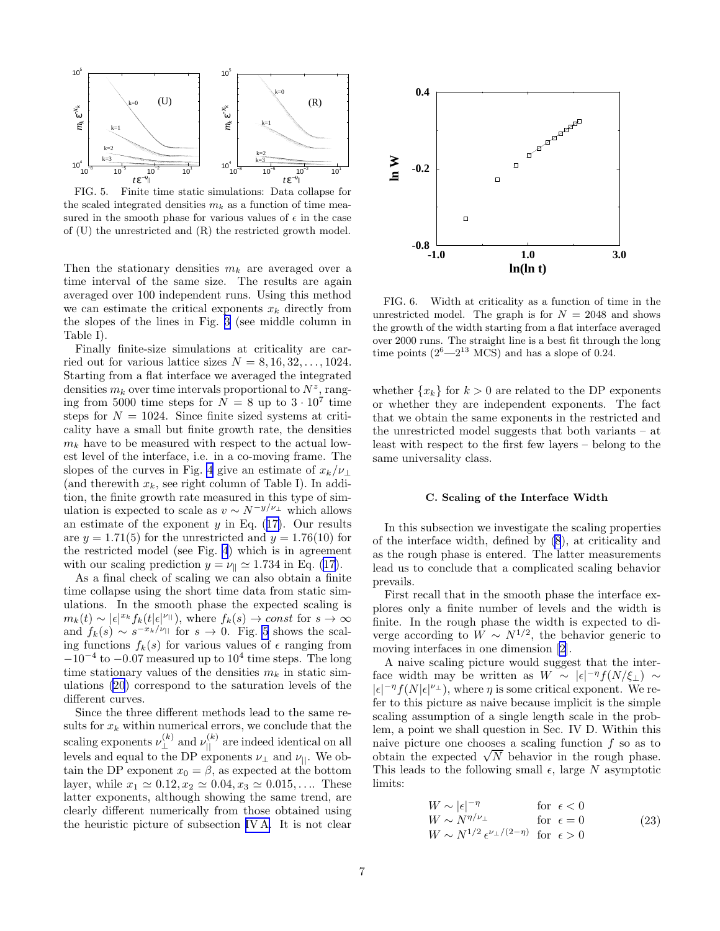<span id="page-6-0"></span>

FIG. 5. Finite time static simulations: Data collapse for the scaled integrated densities  $m_k$  as a function of time measured in the smooth phase for various values of  $\epsilon$  in the case of (U) the unrestricted and (R) the restricted growth model.

Then the stationary densities  $m_k$  are averaged over a time interval of the same size. The results are again averaged over 100 independent runs. Using this method we can estimate the critical exponents  $x_k$  directly from the slopes of the lines in Fig. [3](#page-5-0) (see middle column in Table I).

Finally finite-size simulations at criticality are carried out for various lattice sizes  $N = 8, 16, 32, \ldots, 1024$ . Starting from a flat interface we averaged the integrated densities  $m_k$  over time intervals proportional to  $N^z$ , ranging from 5000 time steps for  $N = 8$  up to  $3 \cdot 10^7$  time steps for  $N = 1024$ . Since finite sized systems at criticality have a small but finite growth rate, the densities  $m_k$  have to be measured with respect to the actual lowest level of the interface, i.e. in a co-moving frame. The slopes of the curves in Fig. [4](#page-5-0) give an estimate of  $x_k/\nu_{\perp}$ (and therewith  $x_k$ , see right column of Table I). In addition, the finite growth rate measured in this type of simulation is expected to scale as  $v \sim N^{-y/\nu_{\perp}}$  which allows anestimate of the exponent  $y$  in Eq. ([17\)](#page-3-0). Our results are  $y = 1.71(5)$  for the unrestricted and  $y = 1.76(10)$  for the restricted model (see Fig. [4](#page-5-0)) which is in agreement with our scaling prediction  $y = \nu_{\parallel} \approx 1.734$  in Eq. [\(17](#page-3-0)).

As a final check of scaling we can also obtain a finite time collapse using the short time data from static simulations. In the smooth phase the expected scaling is  $m_k(t) \sim |\epsilon|^{x_k} f_k(t|\epsilon|^{\nu_{||}})$ , where  $f_k(s) \to const$  for  $s \to \infty$ and  $f_k(s) \sim s^{-x_k/\nu_{||}}$  for  $s \to 0$ . Fig. 5 shows the scaling functions  $f_k(s)$  for various values of  $\epsilon$  ranging from  $-10^{-4}$  to  $-0.07$  measured up to  $10^4$  time steps. The long time stationary values of the densities  $m_k$  in static simulations [\(20](#page-5-0)) correspond to the saturation levels of the different curves.

Since the three different methods lead to the same results for  $x_k$  within numerical errors, we conclude that the scaling exponents  $\nu_{\perp}^{(k)}$  and  $\nu_{||}^{(k)}$  are indeed identical on all levels and equal to the DP exponents  $\nu_{\perp}$  and  $\nu_{\parallel}$ . We obtain the DP exponent  $x_0 = \beta$ , as expected at the bottom layer, while  $x_1 \approx 0.12, x_2 \approx 0.04, x_3 \approx 0.015, \ldots$  These latter exponents, although showing the same trend, are clearly different numerically from those obtained using the heuristic picture of subsection [IV A.](#page-4-0) It is not clear



FIG. 6. Width at criticality as a function of time in the unrestricted model. The graph is for  $N = 2048$  and shows the growth of the width starting from a flat interface averaged over 2000 runs. The straight line is a best fit through the long time points  $(2^6-2^{13}$  MCS) and has a slope of 0.24.

whether  $\{x_k\}$  for  $k > 0$  are related to the DP exponents or whether they are independent exponents. The fact that we obtain the same exponents in the restricted and the unrestricted model suggests that both variants – at least with respect to the first few layers – belong to the same universality class.

#### C. Scaling of the Interface Width

In this subsection we investigate the scaling properties of the interface width, defined by [\(8](#page-2-0)), at criticality and as the rough phase is entered. The latter measurements lead us to conclude that a complicated scaling behavior prevails.

First recall that in the smooth phase the interface explores only a finite number of levels and the width is finite. In the rough phase the width is expected to diverge according to  $W \sim N^{1/2}$ , the behavior generic to moving interfaces in one dimension [\[2](#page-16-0)].

A naive scaling picture would suggest that the interface width may be written as  $W \sim |\epsilon|^{-\eta} f(N/\xi_{\perp}) \sim$  $|\epsilon|^{-\eta} f(N|\epsilon|^{\nu_{\perp}})$ , where  $\eta$  is some critical exponent. We refer to this picture as naive because implicit is the simple scaling assumption of a single length scale in the problem, a point we shall question in Sec. IV D. Within this naive picture one chooses a scaling function  $f$  so as to obtain the expected  $\sqrt{N}$  behavior in the rough phase. This leads to the following small  $\epsilon$ , large N asymptotic limits:

$$
W \sim |\epsilon|^{-\eta} \quad \text{for } \epsilon < 0
$$
  
\n
$$
W \sim N^{\eta/\nu_{\perp}} \quad \text{for } \epsilon = 0
$$
  
\n
$$
W \sim N^{1/2} \epsilon^{\nu_{\perp}/(2-\eta)} \quad \text{for } \epsilon > 0
$$
\n(23)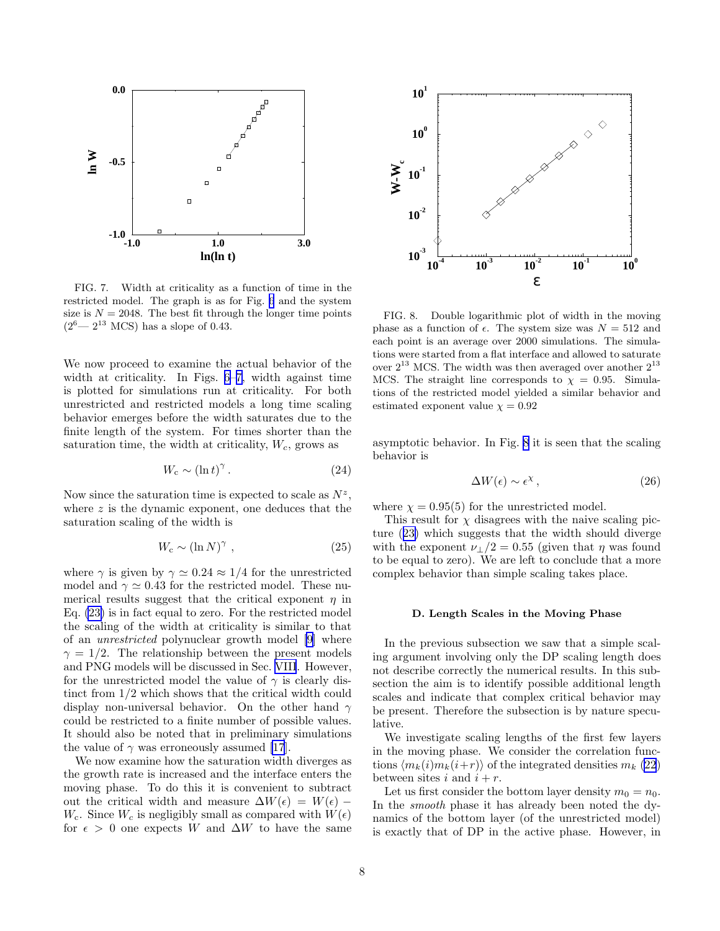<span id="page-7-0"></span>

FIG. 7. Width at criticality as a function of time in the restricted model. The graph is as for Fig. [6](#page-6-0) and the system size is  $N = 2048$ . The best fit through the longer time points  $(2^6 - 2^{13}$  MCS) has a slope of 0.43.

We now proceed to examine the actual behavior of the width at criticality. In Figs. [6–](#page-6-0)7, width against time is plotted for simulations run at criticality. For both unrestricted and restricted models a long time scaling behavior emerges before the width saturates due to the finite length of the system. For times shorter than the saturation time, the width at criticality,  $W_c$ , grows as

$$
W_{\rm c} \sim \left(\ln t\right)^{\gamma}.\tag{24}
$$

Now since the saturation time is expected to scale as  $N^z$ , where  $z$  is the dynamic exponent, one deduces that the saturation scaling of the width is

$$
W_{\rm c} \sim (\ln N)^{\gamma} \tag{25}
$$

where  $\gamma$  is given by  $\gamma \simeq 0.24 \approx 1/4$  for the unrestricted model and  $\gamma \simeq 0.43$  for the restricted model. These numerical results suggest that the critical exponent  $\eta$  in Eq. [\(23\)](#page-6-0) is in fact equal to zero. For the restricted model the scaling of the width at criticality is similar to that of an unrestricted polynuclear growth model [\[9](#page-16-0)] where  $\gamma = 1/2$ . The relationship between the present models and PNG models will be discussed in Sec. [VIII](#page-14-0). However, for the unrestricted model the value of  $\gamma$  is clearly distinct from 1/2 which shows that the critical width could display non-universal behavior. On the other hand  $\gamma$ could be restricted to a finite number of possible values. It should also be noted that in preliminary simulations the value of  $\gamma$  was erroneously assumed [\[17](#page-16-0)].

We now examine how the saturation width diverges as the growth rate is increased and the interface enters the moving phase. To do this it is convenient to subtract out the critical width and measure  $\Delta W(\epsilon) = W(\epsilon)$  –  $W_c$ . Since  $W_c$  is negligibly small as compared with  $W(\epsilon)$ for  $\epsilon > 0$  one expects W and  $\Delta W$  to have the same



FIG. 8. Double logarithmic plot of width in the moving phase as a function of  $\epsilon$ . The system size was  $N = 512$  and each point is an average over 2000 simulations. The simulations were started from a flat interface and allowed to saturate over  $2^{13}$  MCS. The width was then averaged over another  $2^{13}$ MCS. The straight line corresponds to  $\chi = 0.95$ . Simulations of the restricted model yielded a similar behavior and estimated exponent value  $\chi = 0.92$ 

asymptotic behavior. In Fig. 8 it is seen that the scaling behavior is

$$
\Delta W(\epsilon) \sim \epsilon^{\chi},\tag{26}
$$

where  $\chi = 0.95(5)$  for the unrestricted model.

This result for  $\chi$  disagrees with the naive scaling picture([23\)](#page-6-0) which suggests that the width should diverge with the exponent  $\nu_{\perp}/2 = 0.55$  (given that  $\eta$  was found to be equal to zero). We are left to conclude that a more complex behavior than simple scaling takes place.

#### D. Length Scales in the Moving Phase

In the previous subsection we saw that a simple scaling argument involving only the DP scaling length does not describe correctly the numerical results. In this subsection the aim is to identify possible additional length scales and indicate that complex critical behavior may be present. Therefore the subsection is by nature speculative.

We investigate scaling lengths of the first few layers in the moving phase. We consider the correlation functions  $\langle m_k(i)m_k(i+r)\rangle$  of the integrated densities  $m_k$  [\(22](#page-5-0)) between sites i and  $i + r$ .

Let us first consider the bottom layer density  $m_0 = n_0$ . In the smooth phase it has already been noted the dynamics of the bottom layer (of the unrestricted model) is exactly that of DP in the active phase. However, in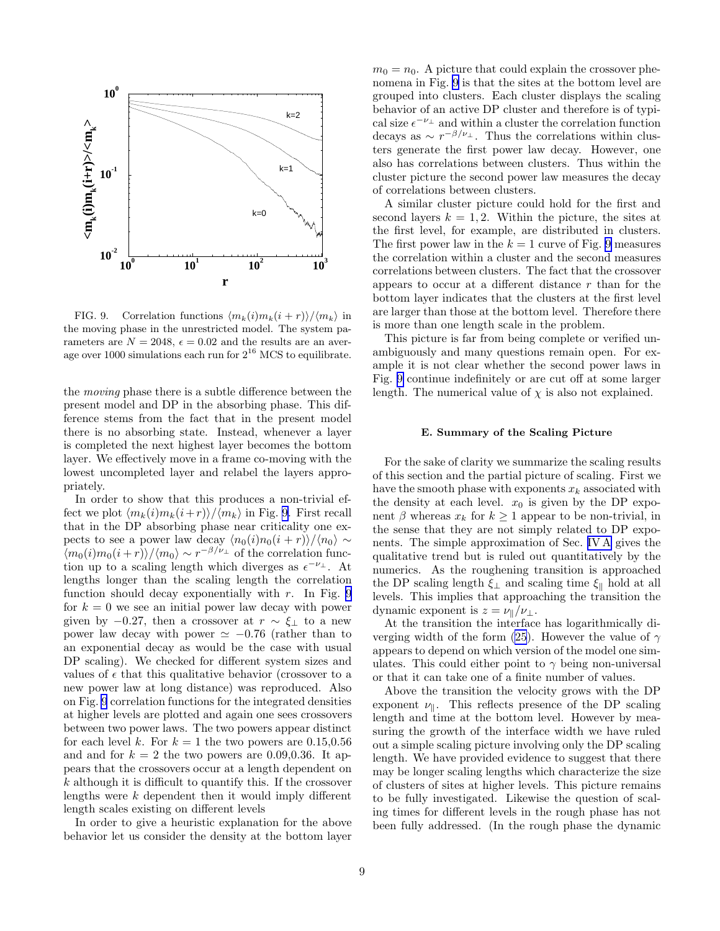

FIG. 9. Correlation functions  $\langle m_k(i)m_k(i + r)\rangle/\langle m_k\rangle$  in the moving phase in the unrestricted model. The system parameters are  $N = 2048$ ,  $\epsilon = 0.02$  and the results are an average over 1000 simulations each run for  $2^{16}$  MCS to equilibrate.

the moving phase there is a subtle difference between the present model and DP in the absorbing phase. This difference stems from the fact that in the present model there is no absorbing state. Instead, whenever a layer is completed the next highest layer becomes the bottom layer. We effectively move in a frame co-moving with the lowest uncompleted layer and relabel the layers appropriately.

In order to show that this produces a non-trivial effect we plot  $\langle m_k(i)m_k(i+r)\rangle/\langle m_k\rangle$  in Fig. 9. First recall that in the DP absorbing phase near criticality one expects to see a power law decay  $\langle n_0(i)n_0(i + r)\rangle/\langle n_0\rangle \sim$  $\langle m_0(i)m_0(i + r)\rangle/\langle m_0\rangle \sim r^{-\beta/\nu_{\perp}}$  of the correlation function up to a scaling length which diverges as  $\epsilon^{-\nu_{\perp}}$ . At lengths longer than the scaling length the correlation function should decay exponentially with  $r$ . In Fig. 9 for  $k = 0$  we see an initial power law decay with power given by  $-0.27$ , then a crossover at  $r \sim \xi_{\perp}$  to a new power law decay with power  $\simeq -0.76$  (rather than to an exponential decay as would be the case with usual DP scaling). We checked for different system sizes and values of  $\epsilon$  that this qualitative behavior (crossover to a new power law at long distance) was reproduced. Also on Fig. 9 correlation functions for the integrated densities at higher levels are plotted and again one sees crossovers between two power laws. The two powers appear distinct for each level k. For  $k = 1$  the two powers are 0.15,0.56 and and for  $k = 2$  the two powers are 0.09,0.36. It appears that the crossovers occur at a length dependent on k although it is difficult to quantify this. If the crossover lengths were  $k$  dependent then it would imply different length scales existing on different levels

In order to give a heuristic explanation for the above behavior let us consider the density at the bottom layer

 $m_0 = n_0$ . A picture that could explain the crossover phenomena in Fig. 9 is that the sites at the bottom level are grouped into clusters. Each cluster displays the scaling behavior of an active DP cluster and therefore is of typical size  $\epsilon^{-\nu_{\perp}}$  and within a cluster the correlation function decays as  $\sim r^{-\beta/\nu_{\perp}}$ . Thus the correlations within clusters generate the first power law decay. However, one also has correlations between clusters. Thus within the cluster picture the second power law measures the decay of correlations between clusters.

A similar cluster picture could hold for the first and second layers  $k = 1, 2$ . Within the picture, the sites at the first level, for example, are distributed in clusters. The first power law in the  $k = 1$  curve of Fig. 9 measures the correlation within a cluster and the second measures correlations between clusters. The fact that the crossover appears to occur at a different distance r than for the bottom layer indicates that the clusters at the first level are larger than those at the bottom level. Therefore there is more than one length scale in the problem.

This picture is far from being complete or verified unambiguously and many questions remain open. For example it is not clear whether the second power laws in Fig. 9 continue indefinitely or are cut off at some larger length. The numerical value of  $\chi$  is also not explained.

### E. Summary of the Scaling Picture

For the sake of clarity we summarize the scaling results of this section and the partial picture of scaling. First we have the smooth phase with exponents  $x_k$  associated with the density at each level.  $x_0$  is given by the DP exponent  $\beta$  whereas  $x_k$  for  $k \geq 1$  appear to be non-trivial, in the sense that they are not simply related to DP exponents. The simple approximation of Sec. [IV A](#page-4-0) gives the qualitative trend but is ruled out quantitatively by the numerics. As the roughening transition is approached the DP scaling length  $\xi_{\perp}$  and scaling time  $\xi_{\parallel}$  hold at all levels. This implies that approaching the transition the dynamic exponent is  $z = \nu_{\parallel}/\nu_{\perp}$ .

At the transition the interface has logarithmically di-verging width of the form [\(25](#page-7-0)). However the value of  $\gamma$ appears to depend on which version of the model one simulates. This could either point to  $\gamma$  being non-universal or that it can take one of a finite number of values.

Above the transition the velocity grows with the DP exponent  $\nu_{\parallel}$ . This reflects presence of the DP scaling length and time at the bottom level. However by measuring the growth of the interface width we have ruled out a simple scaling picture involving only the DP scaling length. We have provided evidence to suggest that there may be longer scaling lengths which characterize the size of clusters of sites at higher levels. This picture remains to be fully investigated. Likewise the question of scaling times for different levels in the rough phase has not been fully addressed. (In the rough phase the dynamic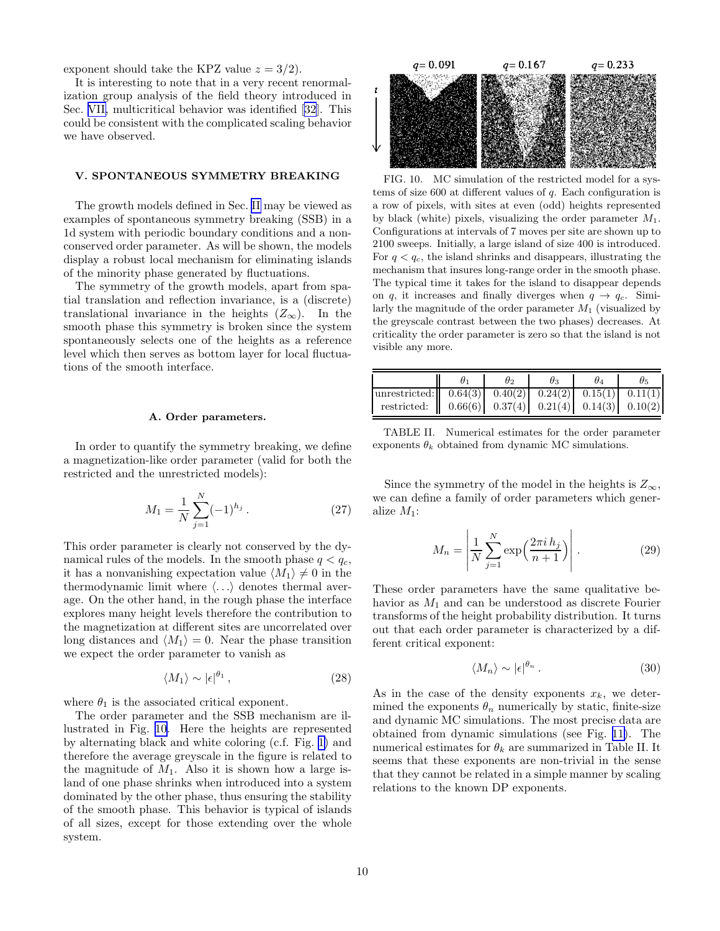<span id="page-9-0"></span>exponent should take the KPZ value  $z = 3/2$ .

It is interesting to note that in a very recent renormalization group analysis of the field theory introduced in Sec. [VII,](#page-12-0) multicritical behavior was identified [\[32](#page-17-0)]. This could be consistent with the complicated scaling behavior we have observed.

### V. SPONTANEOUS SYMMETRY BREAKING

The growth models defined in Sec. [II](#page-1-0) may be viewed as examples of spontaneous symmetry breaking (SSB) in a 1d system with periodic boundary conditions and a nonconserved order parameter. As will be shown, the models display a robust local mechanism for eliminating islands of the minority phase generated by fluctuations.

The symmetry of the growth models, apart from spatial translation and reflection invariance, is a (discrete) translational invariance in the heights  $(Z_{\infty})$ . In the smooth phase this symmetry is broken since the system spontaneously selects one of the heights as a reference level which then serves as bottom layer for local fluctuations of the smooth interface.

#### A. Order parameters.

In order to quantify the symmetry breaking, we define a magnetization-like order parameter (valid for both the restricted and the unrestricted models):

$$
M_1 = \frac{1}{N} \sum_{j=1}^{N} (-1)^{h_j} . \tag{27}
$$

This order parameter is clearly not conserved by the dynamical rules of the models. In the smooth phase  $q < q_c$ , it has a nonvanishing expectation value  $\langle M_1 \rangle \neq 0$  in the thermodynamic limit where  $\langle \ldots \rangle$  denotes thermal average. On the other hand, in the rough phase the interface explores many height levels therefore the contribution to the magnetization at different sites are uncorrelated over long distances and  $\langle M_1 \rangle = 0$ . Near the phase transition we expect the order parameter to vanish as

$$
\langle M_1 \rangle \sim |\epsilon|^{\theta_1},\tag{28}
$$

where  $\theta_1$  is the associated critical exponent.

The order parameter and the SSB mechanism are illustrated in Fig. 10. Here the heights are represented by alternating black and white coloring (c.f. Fig. [1\)](#page-2-0) and therefore the average greyscale in the figure is related to the magnitude of  $M_1$ . Also it is shown how a large island of one phase shrinks when introduced into a system dominated by the other phase, thus ensuring the stability of the smooth phase. This behavior is typical of islands of all sizes, except for those extending over the whole system.



FIG. 10. MC simulation of the restricted model for a systems of size 600 at different values of  $q$ . Each configuration is a row of pixels, with sites at even (odd) heights represented by black (white) pixels, visualizing the order parameter  $M_1$ . Configurations at intervals of 7 moves per site are shown up to 2100 sweeps. Initially, a large island of size 400 is introduced. For  $q < q_c$ , the island shrinks and disappears, illustrating the mechanism that insures long-range order in the smooth phase. The typical time it takes for the island to disappear depends on q, it increases and finally diverges when  $q \to q_c$ . Similarly the magnitude of the order parameter  $M_1$  (visualized by the greyscale contrast between the two phases) decreases. At criticality the order parameter is zero so that the island is not visible any more.

|                                                                                               | $\theta_2$ | $\theta_{3}$ |  |
|-----------------------------------------------------------------------------------------------|------------|--------------|--|
| unrestricted: $\begin{bmatrix} 0.64(3) & 0.40(2) & 0.24(2) & 0.15(1) & 0.11(1) \end{bmatrix}$ |            |              |  |
| restricted: $\begin{bmatrix} 0.66(6) & 0.37(4) & 0.21(4) & 0.14(3) & 0.10(2) \end{bmatrix}$   |            |              |  |

TABLE II. Numerical estimates for the order parameter exponents  $\theta_k$  obtained from dynamic MC simulations.

Since the symmetry of the model in the heights is  $Z_{\infty}$ , we can define a family of order parameters which generalize  $M_1$ :

$$
M_n = \left| \frac{1}{N} \sum_{j=1}^{N} \exp\left(\frac{2\pi i h_j}{n+1}\right) \right|.
$$
 (29)

These order parameters have the same qualitative behavior as  $M_1$  and can be understood as discrete Fourier transforms of the height probability distribution. It turns out that each order parameter is characterized by a different critical exponent:

$$
\langle M_n \rangle \sim |\epsilon|^{\theta_n} \,. \tag{30}
$$

As in the case of the density exponents  $x_k$ , we determined the exponents  $\theta_n$  numerically by static, finite-size and dynamic MC simulations. The most precise data are obtained from dynamic simulations (see Fig. [11\)](#page-10-0). The numerical estimates for  $\theta_k$  are summarized in Table II. It seems that these exponents are non-trivial in the sense that they cannot be related in a simple manner by scaling relations to the known DP exponents.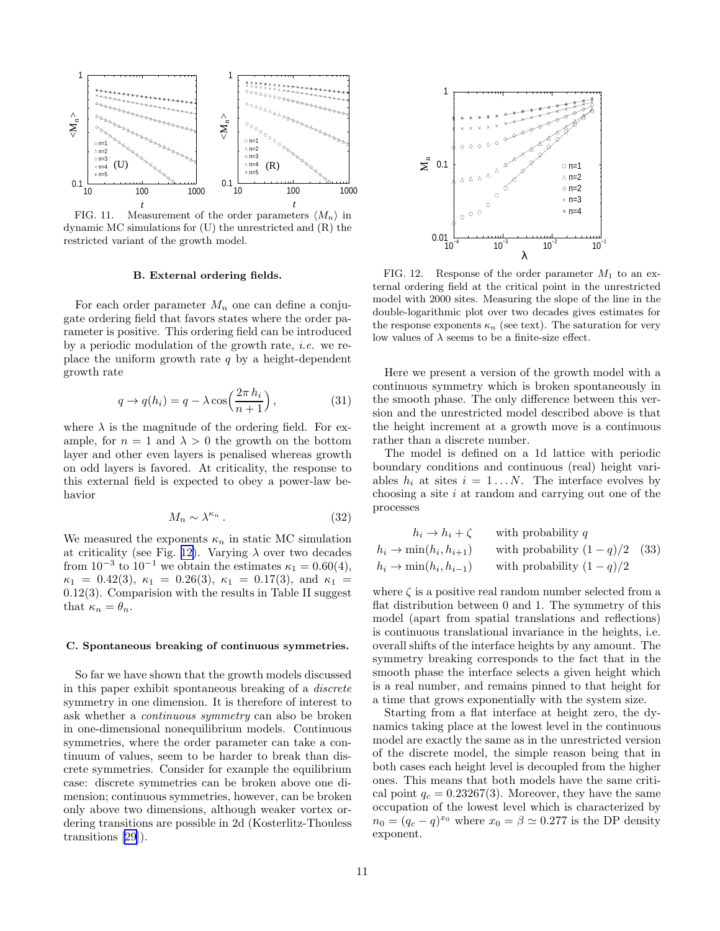<span id="page-10-0"></span>

FIG. 11. Measurement of the order parameters  $\langle M_n \rangle$  in dynamic MC simulations for (U) the unrestricted and (R) the restricted variant of the growth model.

#### B. External ordering fields.

For each order parameter  $M_n$  one can define a conjugate ordering field that favors states where the order parameter is positive. This ordering field can be introduced by a periodic modulation of the growth rate, i.e. we replace the uniform growth rate  $q$  by a height-dependent growth rate

$$
q \to q(h_i) = q - \lambda \cos\left(\frac{2\pi h_i}{n+1}\right),\tag{31}
$$

where  $\lambda$  is the magnitude of the ordering field. For example, for  $n = 1$  and  $\lambda > 0$  the growth on the bottom layer and other even layers is penalised whereas growth on odd layers is favored. At criticality, the response to this external field is expected to obey a power-law behavior

$$
M_n \sim \lambda^{\kappa_n} \,. \tag{32}
$$

We measured the exponents  $\kappa_n$  in static MC simulation at criticality (see Fig. 12). Varying  $\lambda$  over two decades from  $10^{-3}$  to  $10^{-1}$  we obtain the estimates  $\kappa_1 = 0.60(4)$ ,  $\kappa_1 = 0.42(3), \kappa_1 = 0.26(3), \kappa_1 = 0.17(3), \text{ and } \kappa_1 =$ 0.12(3). Comparision with the results in Table II suggest that  $\kappa_n = \theta_n$ .

### C. Spontaneous breaking of continuous symmetries.

So far we have shown that the growth models discussed in this paper exhibit spontaneous breaking of a discrete symmetry in one dimension. It is therefore of interest to ask whether a continuous symmetry can also be broken in one-dimensional nonequilibrium models. Continuous symmetries, where the order parameter can take a continuum of values, seem to be harder to break than discrete symmetries. Consider for example the equilibrium case: discrete symmetries can be broken above one dimension; continuous symmetries, however, can be broken only above two dimensions, although weaker vortex ordering transitions are possible in 2d (Kosterlitz-Thouless transitions [\[29](#page-17-0)]).



FIG. 12. Response of the order parameter  $M_1$  to an external ordering field at the critical point in the unrestricted model with 2000 sites. Measuring the slope of the line in the double-logarithmic plot over two decades gives estimates for the response exponents  $\kappa_n$  (see text). The saturation for very low values of  $\lambda$  seems to be a finite-size effect.

Here we present a version of the growth model with a continuous symmetry which is broken spontaneously in the smooth phase. The only difference between this version and the unrestricted model described above is that the height increment at a growth move is a continuous rather than a discrete number.

The model is defined on a 1d lattice with periodic boundary conditions and continuous (real) height variables  $h_i$  at sites  $i = 1...N$ . The interface evolves by choosing a site  $i$  at random and carrying out one of the processes

$$
h_i \to h_i + \zeta \qquad \text{with probability } q
$$
  
\n
$$
h_i \to \min(h_i, h_{i+1}) \qquad \text{with probability } (1 - q)/2 \quad (33)
$$
  
\n
$$
h_i \to \min(h_i, h_{i-1}) \qquad \text{with probability } (1 - q)/2
$$

where  $\zeta$  is a positive real random number selected from a flat distribution between 0 and 1. The symmetry of this model (apart from spatial translations and reflections) is continuous translational invariance in the heights, i.e. overall shifts of the interface heights by any amount. The symmetry breaking corresponds to the fact that in the smooth phase the interface selects a given height which is a real number, and remains pinned to that height for a time that grows exponentially with the system size.

Starting from a flat interface at height zero, the dynamics taking place at the lowest level in the continuous model are exactly the same as in the unrestricted version of the discrete model, the simple reason being that in both cases each height level is decoupled from the higher ones. This means that both models have the same critical point  $q_c = 0.23267(3)$ . Moreover, they have the same occupation of the lowest level which is characterized by  $n_0 = (q_c - q)^{x_0}$  where  $x_0 = \beta \simeq 0.277$  is the DP density exponent.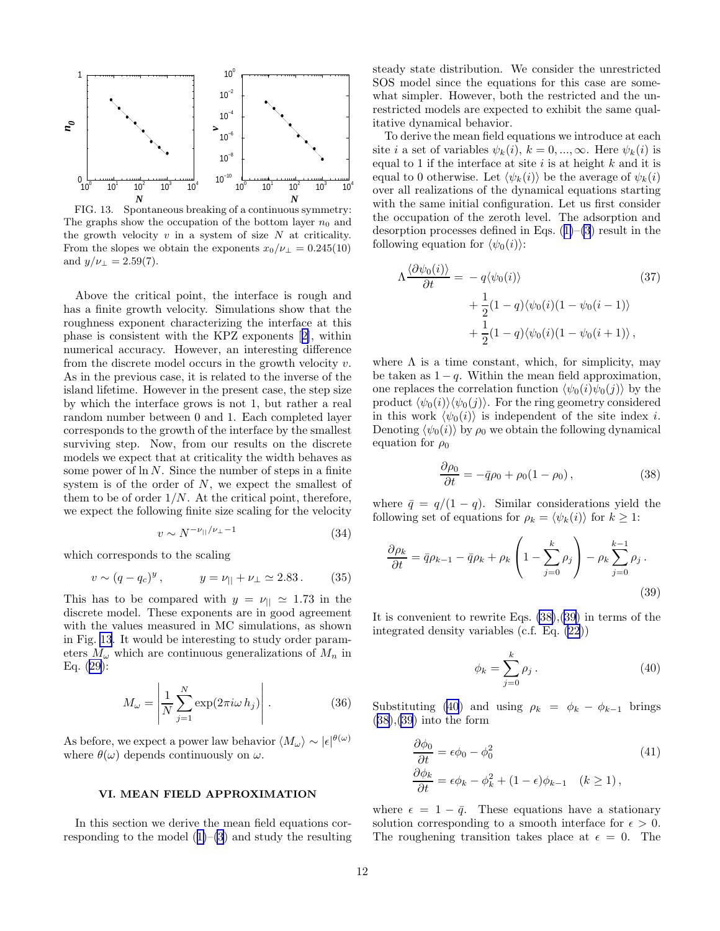<span id="page-11-0"></span>

FIG. 13. Spontaneous breaking of a continuous symmetry: The graphs show the occupation of the bottom layer  $n_0$  and the growth velocity  $v$  in a system of size  $N$  at criticality. From the slopes we obtain the exponents  $x_0/\nu_{\perp} = 0.245(10)$ and  $y/\nu_{\perp} = 2.59(7)$ .

Above the critical point, the interface is rough and has a finite growth velocity. Simulations show that the roughness exponent characterizing the interface at this phase is consistent with the KPZ exponents[[2\]](#page-16-0), within numerical accuracy. However, an interesting difference from the discrete model occurs in the growth velocity  $v$ . As in the previous case, it is related to the inverse of the island lifetime. However in the present case, the step size by which the interface grows is not 1, but rather a real random number between 0 and 1. Each completed layer corresponds to the growth of the interface by the smallest surviving step. Now, from our results on the discrete models we expect that at criticality the width behaves as some power of  $\ln N$ . Since the number of steps in a finite system is of the order of  $N$ , we expect the smallest of them to be of order  $1/N$ . At the critical point, therefore, we expect the following finite size scaling for the velocity

$$
v \sim N^{-\nu_{||}/\nu_{\perp}-1} \tag{34}
$$

which corresponds to the scaling

$$
v \sim (q - q_c)^y
$$
,  $y = \nu_{||} + \nu_{\perp} \simeq 2.83$ . (35)

This has to be compared with  $y = \nu_{\parallel} \approx 1.73$  in the discrete model. These exponents are in good agreement with the values measured in MC simulations, as shown in Fig. 13. It would be interesting to study order parameters  $M_{\omega}$  which are continuous generalizations of  $M_n$  in Eq.([29](#page-9-0)):

$$
M_{\omega} = \left| \frac{1}{N} \sum_{j=1}^{N} \exp(2\pi i \omega h_j) \right|.
$$
 (36)

As before, we expect a power law behavior  $\langle M_{\omega} \rangle \sim |\epsilon|^{\theta(\omega)}$ where  $\theta(\omega)$  depends continuously on  $\omega$ .

### VI. MEAN FIELD APPROXIMATION

In this section we derive the mean field equations correspondingto the model  $(1)$  $(1)$ – $(3)$  $(3)$  and study the resulting steady state distribution. We consider the unrestricted SOS model since the equations for this case are somewhat simpler. However, both the restricted and the unrestricted models are expected to exhibit the same qualitative dynamical behavior.

To derive the mean field equations we introduce at each site i a set of variables  $\psi_k(i)$ ,  $k = 0, ..., \infty$ . Here  $\psi_k(i)$  is equal to 1 if the interface at site  $i$  is at height  $k$  and it is equal to 0 otherwise. Let  $\langle \psi_k(i) \rangle$  be the average of  $\psi_k(i)$ over all realizations of the dynamical equations starting with the same initial configuration. Let us first consider the occupation of the zeroth level. The adsorption and desorptionprocesses defined in Eqs.  $(1)$  $(1)$ – $(3)$  $(3)$  result in the following equation for  $\langle \psi_0(i) \rangle$ :

$$
\Lambda \frac{\langle \partial \psi_0(i) \rangle}{\partial t} = -q \langle \psi_0(i) \rangle \tag{37}
$$

$$
+ \frac{1}{2} (1-q) \langle \psi_0(i) (1 - \psi_0(i-1) \rangle
$$

$$
+ \frac{1}{2} (1-q) \langle \psi_0(i) (1 - \psi_0(i+1) \rangle ,
$$

where  $\Lambda$  is a time constant, which, for simplicity, may be taken as  $1 - q$ . Within the mean field approximation, one replaces the correlation function  $\langle \psi_0(i) \psi_0(j) \rangle$  by the product  $\langle \psi_0(i) \rangle \langle \psi_0(j) \rangle$ . For the ring geometry considered in this work  $\langle \psi_0(i) \rangle$  is independent of the site index *i*. Denoting  $\langle \psi_0(i) \rangle$  by  $\rho_0$  we obtain the following dynamical equation for  $\rho_0$ 

$$
\frac{\partial \rho_0}{\partial t} = -\bar{q}\rho_0 + \rho_0 (1 - \rho_0),\qquad(38)
$$

where  $\bar{q} = q/(1 - q)$ . Similar considerations yield the following set of equations for  $\rho_k = \langle \psi_k(i) \rangle$  for  $k \geq 1$ :

$$
\frac{\partial \rho_k}{\partial t} = \bar{q}\rho_{k-1} - \bar{q}\rho_k + \rho_k \left( 1 - \sum_{j=0}^k \rho_j \right) - \rho_k \sum_{j=0}^{k-1} \rho_j.
$$
\n(39)

It is convenient to rewrite Eqs. (38),(39) in terms of the integrated density variables (c.f. Eq. [\(22](#page-5-0)))

$$
\phi_k = \sum_{j=0}^k \rho_j \,. \tag{40}
$$

Substituting (40) and using  $\rho_k = \phi_k - \phi_{k-1}$  brings  $(38),(39)$  into the form

$$
\frac{\partial \phi_0}{\partial t} = \epsilon \phi_0 - \phi_0^2
$$
\n
$$
\frac{\partial \phi_k}{\partial t} = \epsilon \phi_k - \phi_k^2 + (1 - \epsilon) \phi_{k-1} \quad (k \ge 1),
$$
\n(41)

where  $\epsilon = 1 - \bar{q}$ . These equations have a stationary solution corresponding to a smooth interface for  $\epsilon > 0$ . The roughening transition takes place at  $\epsilon = 0$ . The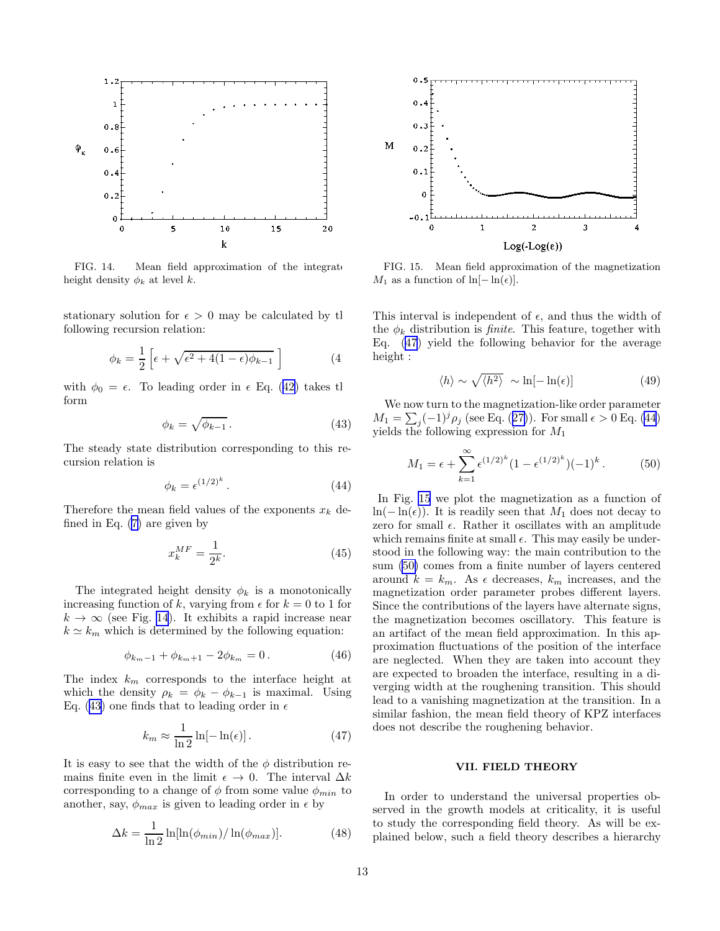<span id="page-12-0"></span>

FIG. 14. Mean field approximation of the integrate height density  $\phi_k$  at level k.

stationary solution for  $\epsilon > 0$  may be calculated by the following recursion relation:

$$
\phi_k = \frac{1}{2} \left[ \epsilon + \sqrt{\epsilon^2 + 4(1 - \epsilon)\phi_{k-1}} \right]
$$
 (4)

with  $\phi_0 = \epsilon$ . To leading order in  $\epsilon$  Eq. (42) takes the form

$$
\phi_k = \sqrt{\phi_{k-1}} \,. \tag{43}
$$

The steady state distribution corresponding to this recursion relation is

$$
\phi_k = \epsilon^{(1/2)^k} \,. \tag{44}
$$

Therefore the mean field values of the exponents  $x_k$  defined in Eq.([7\)](#page-2-0) are given by

$$
x_k^{MF} = \frac{1}{2^k}.\tag{45}
$$

The integrated height density  $\phi_k$  is a monotonically increasing function of k, varying from  $\epsilon$  for  $k = 0$  to 1 for  $k \to \infty$  (see Fig. 14). It exhibits a rapid increase near  $k \simeq k_m$  which is determined by the following equation:

$$
\phi_{k_m-1} + \phi_{k_m+1} - 2\phi_{k_m} = 0.
$$
\n(46)

The index  $k_m$  corresponds to the interface height at which the density  $\rho_k = \phi_k - \phi_{k-1}$  is maximal. Using Eq. (43) one finds that to leading order in  $\epsilon$ 

$$
k_m \approx \frac{1}{\ln 2} \ln[-\ln(\epsilon)].
$$
 (47)

It is easy to see that the width of the  $\phi$  distribution remains finite even in the limit  $\epsilon \to 0$ . The interval  $\Delta k$ corresponding to a change of  $\phi$  from some value  $\phi_{min}$  to another, say,  $\phi_{max}$  is given to leading order in  $\epsilon$  by

$$
\Delta k = \frac{1}{\ln 2} \ln[\ln(\phi_{min}) / \ln(\phi_{max})]. \tag{48}
$$



FIG. 15. Mean field approximation of the magnetization  $M_1$  as a function of ln[-ln( $\epsilon$ )].

This interval is independent of  $\epsilon$ , and thus the width of the  $\phi_k$  distribution is *finite*. This feature, together with Eq. (47) yield the following behavior for the average height :

$$
\langle h \rangle \sim \sqrt{\langle h^2 \rangle} \sim \ln[-\ln(\epsilon)] \tag{49}
$$

We now turn to the magnetization-like order parameter  $M_1 = \sum_j (-1)^j \rho_j$  $M_1 = \sum_j (-1)^j \rho_j$  $M_1 = \sum_j (-1)^j \rho_j$  (see Eq. ([27\)](#page-9-0)). For small  $\epsilon > 0$  Eq. (44) yields the following expression for  $M_1$ 

$$
M_1 = \epsilon + \sum_{k=1}^{\infty} \epsilon^{(1/2)^k} (1 - \epsilon^{(1/2)^k}) (-1)^k.
$$
 (50)

In Fig. 15 we plot the magnetization as a function of  $ln(- ln(\epsilon))$ . It is readily seen that  $M_1$  does not decay to zero for small  $\epsilon$ . Rather it oscillates with an amplitude which remains finite at small  $\epsilon$ . This may easily be understood in the following way: the main contribution to the sum (50) comes from a finite number of layers centered around  $k = k_m$ . As  $\epsilon$  decreases,  $k_m$  increases, and the magnetization order parameter probes different layers. Since the contributions of the layers have alternate signs, the magnetization becomes oscillatory. This feature is an artifact of the mean field approximation. In this approximation fluctuations of the position of the interface are neglected. When they are taken into account they are expected to broaden the interface, resulting in a diverging width at the roughening transition. This should lead to a vanishing magnetization at the transition. In a similar fashion, the mean field theory of KPZ interfaces does not describe the roughening behavior.

### VII. FIELD THEORY

In order to understand the universal properties observed in the growth models at criticality, it is useful to study the corresponding field theory. As will be explained below, such a field theory describes a hierarchy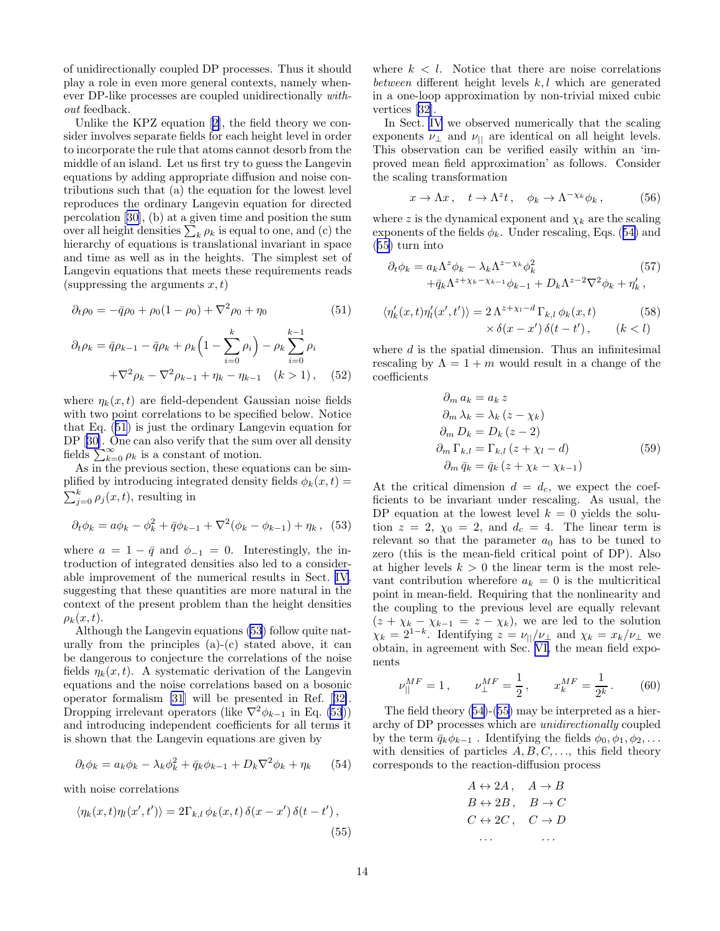<span id="page-13-0"></span>of unidirectionally coupled DP processes. Thus it should play a role in even more general contexts, namely whenever DP-like processes are coupled unidirectionally without feedback.

Unlike the KPZ equation[[2\]](#page-16-0), the field theory we consider involves separate fields for each height level in order to incorporate the rule that atoms cannot desorb from the middle of an island. Let us first try to guess the Langevin equations by adding appropriate diffusion and noise contributions such that (a) the equation for the lowest level reproduces the ordinary Langevin equation for directed percolation[[30\]](#page-17-0), (b) at a given time and position the sum over all height densities  $\sum_{k} \rho_k$  is equal to one, and (c) the hierarchy of equations is translational invariant in space and time as well as in the heights. The simplest set of Langevin equations that meets these requirements reads (suppressing the arguments  $x, t$ )

$$
\partial_t \rho_0 = -\bar{q}\rho_0 + \rho_0 (1 - \rho_0) + \nabla^2 \rho_0 + \eta_0 \tag{51}
$$

$$
\partial_t \rho_k = \bar{q} \rho_{k-1} - \bar{q} \rho_k + \rho_k \left( 1 - \sum_{i=0}^k \rho_i \right) - \rho_k \sum_{i=0}^{k-1} \rho_i
$$
  
+  $\nabla^2 \rho_k - \nabla^2 \rho_{k-1} + \eta_k - \eta_{k-1} \quad (k > 1), \quad (52)$ 

where  $\eta_k(x, t)$  are field-dependent Gaussian noise fields with two point correlations to be specified below. Notice that Eq. (51) is just the ordinary Langevin equation for DP[[30\]](#page-17-0). One can also verify that the sum over all density fields  $\sum_{k=0}^{\infty} \rho_k$  is a constant of motion.

As in the previous section, these equations can be simplified by introducing integrated density fields  $\phi_k(x,t) =$  $\sum_{j=0}^{k} \rho_j(x, t)$ , resulting in

$$
\partial_t \phi_k = a\phi_k - \phi_k^2 + \bar{q}\phi_{k-1} + \nabla^2(\phi_k - \phi_{k-1}) + \eta_k, (53)
$$

where  $a = 1 - \bar{q}$  and  $\phi_{-1} = 0$ . Interestingly, the introduction of integrated densities also led to a considerable improvement of the numerical results in Sect. [IV](#page-3-0), suggesting that these quantities are more natural in the context of the present problem than the height densities  $\rho_k(x,t)$ .

Although the Langevin equations (53) follow quite naturally from the principles  $(a)-(c)$  stated above, it can be dangerous to conjecture the correlations of the noise fields  $\eta_k(x, t)$ . A systematic derivation of the Langevin equations and the noise correlations based on a bosonic operator formalism [\[31](#page-17-0)] will be presented in Ref.[[32\]](#page-17-0). Dropping irrelevant operators (like  $\nabla^2 \phi_{k-1}$  in Eq. (53)) and introducing independent coefficients for all terms it is shown that the Langevin equations are given by

$$
\partial_t \phi_k = a_k \phi_k - \lambda_k \phi_k^2 + \bar{q}_k \phi_{k-1} + D_k \nabla^2 \phi_k + \eta_k \qquad (54)
$$

with noise correlations

$$
\langle \eta_k(x,t)\eta_l(x',t')\rangle = 2\Gamma_{k,l}\,\phi_k(x,t)\,\delta(x-x')\,\delta(t-t'),\tag{55}
$$

where  $k < l$ . Notice that there are noise correlations between different height levels  $k, l$  which are generated in a one-loop approximation by non-trivial mixed cubic vertices[[32\]](#page-17-0).

In Sect. [IV](#page-3-0) we observed numerically that the scaling exponents  $\nu_{\perp}$  and  $\nu_{\parallel}$  are identical on all height levels. This observation can be verified easily within an 'improved mean field approximation' as follows. Consider the scaling transformation

$$
x \to \Lambda x, \quad t \to \Lambda^z t, \quad \phi_k \to \Lambda^{-\chi_k} \phi_k, \tag{56}
$$

where z is the dynamical exponent and  $\chi_k$  are the scaling exponents of the fields  $\phi_k$ . Under rescaling, Eqs. (54) and (55) turn into

$$
\partial_t \phi_k = a_k \Lambda^z \phi_k - \lambda_k \Lambda^{z - \chi_k} \phi_k^2 \tag{57}
$$
  
 
$$
+ \bar{q}_k \Lambda^{z + \chi_k - \chi_{k-1}} \phi_{k-1} + D_k \Lambda^{z-2} \nabla^2 \phi_k + \eta'_k,
$$

$$
\langle \eta'_k(x,t)\eta'_l(x',t')\rangle = 2\,\Lambda^{z+\chi_l-d} \,\Gamma_{k,l}\,\phi_k(x,t) \tag{58}
$$
\n
$$
\times \,\delta(x-x')\,\delta(t-t'), \qquad (k < l)
$$

where  $d$  is the spatial dimension. Thus an infinitesimal rescaling by  $\Lambda = 1 + m$  would result in a change of the coefficients

$$
\partial_m a_k = a_k z
$$
  
\n
$$
\partial_m \lambda_k = \lambda_k (z - \chi_k)
$$
  
\n
$$
\partial_m D_k = D_k (z - 2)
$$
  
\n
$$
\partial_m \Gamma_{k,l} = \Gamma_{k,l} (z + \chi_l - d)
$$
  
\n
$$
\partial_m \bar{q}_k = \bar{q}_k (z + \chi_k - \chi_{k-1})
$$
\n(59)

At the critical dimension  $d = d_c$ , we expect the coefficients to be invariant under rescaling. As usual, the DP equation at the lowest level  $k = 0$  yields the solution  $z = 2$ ,  $\chi_0 = 2$ , and  $d_c = 4$ . The linear term is relevant so that the parameter  $a_0$  has to be tuned to zero (this is the mean-field critical point of DP). Also at higher levels  $k > 0$  the linear term is the most relevant contribution wherefore  $a_k = 0$  is the multicritical point in mean-field. Requiring that the nonlinearity and the coupling to the previous level are equally relevant  $(z + \chi_k - \chi_{k-1} = z - \chi_k)$ , we are led to the solution  $\chi_k = 2^{1-k}$ . Identifying  $z = \nu_{\parallel}/\nu_{\perp}$  and  $\chi_k = x_k/\nu_{\perp}$  we obtain, in agreement with Sec. [VI,](#page-11-0) the mean field exponents

$$
\nu_{||}^{MF} = 1, \qquad \nu_{\perp}^{MF} = \frac{1}{2}, \qquad x_k^{MF} = \frac{1}{2^k}.
$$
 (60)

The field theory (54)-(55) may be interpreted as a hierarchy of DP processes which are unidirectionally coupled by the term  $\bar{q}_k \phi_{k-1}$ . Identifying the fields  $\phi_0, \phi_1, \phi_2, \ldots$ with densities of particles  $A, B, C, \ldots$ , this field theory corresponds to the reaction-diffusion process

$$
A \leftrightarrow 2A, \quad A \to B
$$
  

$$
B \leftrightarrow 2B, \quad B \to C
$$
  

$$
C \leftrightarrow 2C, \quad C \to D
$$
  
...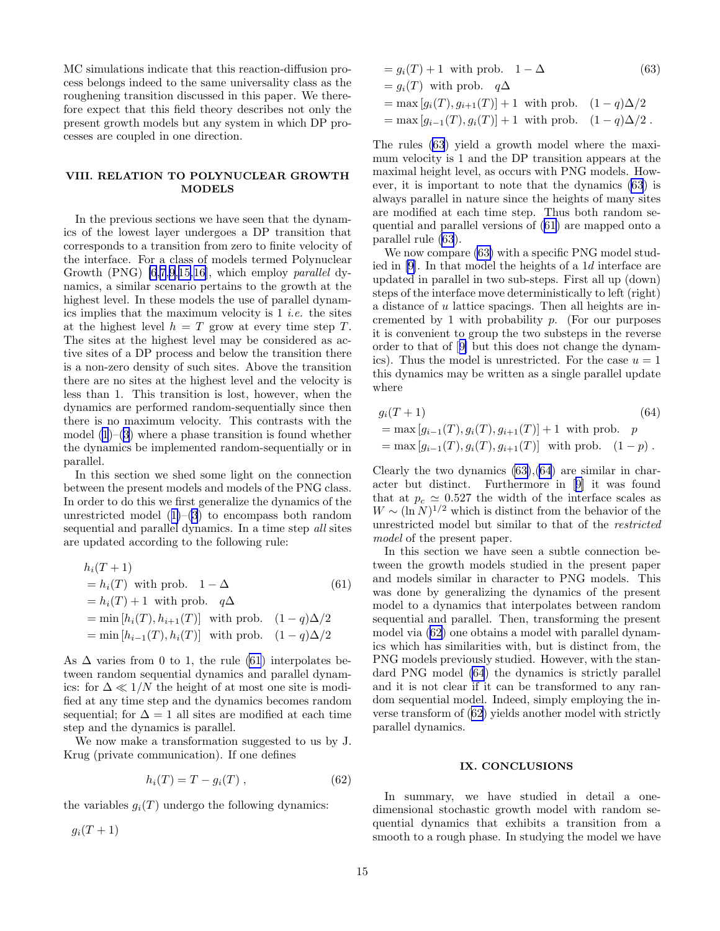<span id="page-14-0"></span>MC simulations indicate that this reaction-diffusion process belongs indeed to the same universality class as the roughening transition discussed in this paper. We therefore expect that this field theory describes not only the present growth models but any system in which DP processes are coupled in one direction.

## VIII. RELATION TO POLYNUCLEAR GROWTH MODELS

In the previous sections we have seen that the dynamics of the lowest layer undergoes a DP transition that corresponds to a transition from zero to finite velocity of the interface. For a class of models termed Polynuclear Growth (PNG) [\[6,7](#page-16-0),[9](#page-16-0),[15,16\]](#page-16-0), which employ parallel dynamics, a similar scenario pertains to the growth at the highest level. In these models the use of parallel dynamics implies that the maximum velocity is  $1$  *i.e.* the sites at the highest level  $h = T$  grow at every time step T. The sites at the highest level may be considered as active sites of a DP process and below the transition there is a non-zero density of such sites. Above the transition there are no sites at the highest level and the velocity is less than 1. This transition is lost, however, when the dynamics are performed random-sequentially since then there is no maximum velocity. This contrasts with the model  $(1)$ – $(3)$  $(3)$  where a phase transition is found whether the dynamics be implemented random-sequentially or in parallel.

In this section we shed some light on the connection between the present models and models of the PNG class. In order to do this we first generalize the dynamics of the unrestrictedmodel  $(1)$  $(1)$ – $(3)$  $(3)$  to encompass both random sequential and parallel dynamics. In a time step all sites are updated according to the following rule:

$$
h_i(T + 1)
$$
  
=  $h_i(T)$  with prob.  $1 - \Delta$  (61)  
=  $h_i(T) + 1$  with prob.  $q\Delta$   
= min  $[h_i(T), h_{i+1}(T)]$  with prob.  $(1 - q)\Delta/2$   
= min  $[h_{i-1}(T), h_i(T)]$  with prob.  $(1 - q)\Delta/2$ 

As  $\Delta$  varies from 0 to 1, the rule [\(61](#page-13-0)) interpolates between random sequential dynamics and parallel dynamics: for  $\Delta \ll 1/N$  the height of at most one site is modified at any time step and the dynamics becomes random sequential; for  $\Delta = 1$  all sites are modified at each time step and the dynamics is parallel.

We now make a transformation suggested to us by J. Krug (private communication). If one defines

$$
h_i(T) = T - g_i(T) , \qquad (62)
$$

the variables  $g_i(T)$  undergo the following dynamics:

 $= g_i(T) + 1$  with prob.  $1 - \Delta$  (63)  $= q_i(T)$  with prob.  $q\Delta$  $=$  max  $[g_i(T), g_{i+1}(T)] + 1$  with prob.  $(1 - q)\Delta/2$  $=$  max  $[q_{i-1}(T), q_i(T)] + 1$  with prob.  $(1 - q)\Delta/2$ .

The rules (63) yield a growth model where the maximum velocity is 1 and the DP transition appears at the maximal height level, as occurs with PNG models. However, it is important to note that the dynamics (63) is always parallel in nature since the heights of many sites are modified at each time step. Thus both random sequential and parallel versions of([61](#page-13-0)) are mapped onto a parallel rule (63).

We now compare (63) with a specific PNG model studied in [\[9](#page-16-0)]. In that model the heights of a 1d interface are updated in parallel in two sub-steps. First all up (down) steps of the interface move deterministically to left (right) a distance of u lattice spacings. Then all heights are incremented by 1 with probability  $p$ . (For our purposes it is convenient to group the two substeps in the reverse order to that of[[9\]](#page-16-0) but this does not change the dynamics). Thus the model is unrestricted. For the case  $u = 1$ this dynamics may be written as a single parallel update where

$$
g_i(T + 1)
$$
\n
$$
= \max [g_{i-1}(T), g_i(T), g_{i+1}(T)] + 1 \text{ with prob. } p
$$
\n
$$
= \max [g_{i-1}(T), g_i(T), g_{i+1}(T)] \text{ with prob. } (1 - p).
$$
\n(64)

Clearly the two dynamics  $(63),(64)$  are similar in character but distinct. Furthermore in[[9\]](#page-16-0) it was found that at  $p_c \simeq 0.527$  the width of the interface scales as  $W \sim (\ln N)^{1/2}$  which is distinct from the behavior of the unrestricted model but similar to that of the restricted model of the present paper.

In this section we have seen a subtle connection between the growth models studied in the present paper and models similar in character to PNG models. This was done by generalizing the dynamics of the present model to a dynamics that interpolates between random sequential and parallel. Then, transforming the present model via (62) one obtains a model with parallel dynamics which has similarities with, but is distinct from, the PNG models previously studied. However, with the standard PNG model (64) the dynamics is strictly parallel and it is not clear if it can be transformed to any random sequential model. Indeed, simply employing the inverse transform of (62) yields another model with strictly parallel dynamics.

#### IX. CONCLUSIONS

In summary, we have studied in detail a onedimensional stochastic growth model with random sequential dynamics that exhibits a transition from a smooth to a rough phase. In studying the model we have

 $g_i(T + 1)$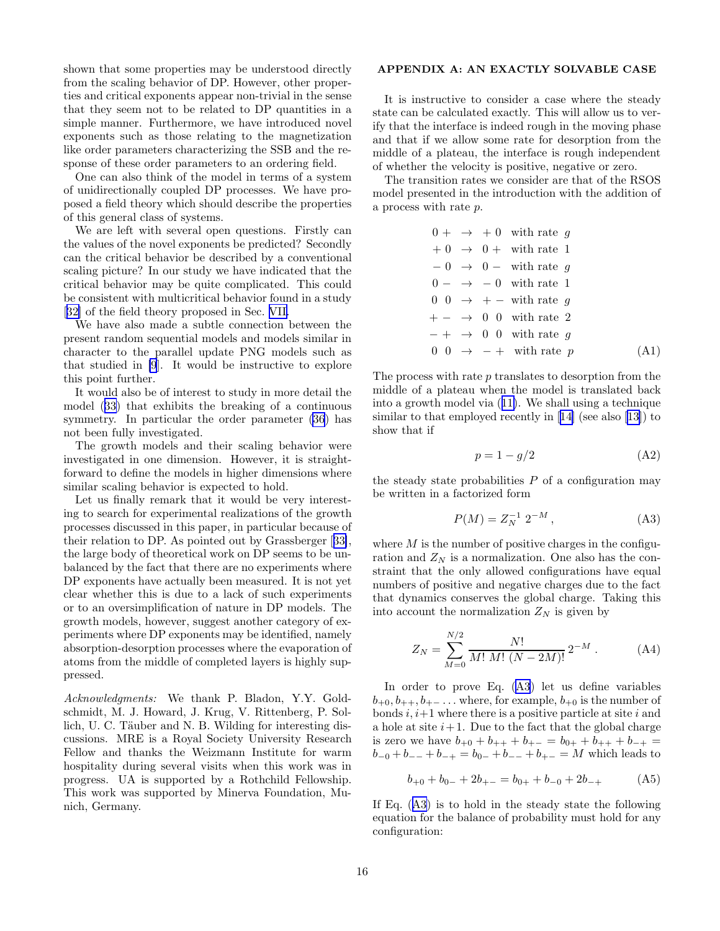<span id="page-15-0"></span>shown that some properties may be understood directly from the scaling behavior of DP. However, other properties and critical exponents appear non-trivial in the sense that they seem not to be related to DP quantities in a simple manner. Furthermore, we have introduced novel exponents such as those relating to the magnetization like order parameters characterizing the SSB and the response of these order parameters to an ordering field.

One can also think of the model in terms of a system of unidirectionally coupled DP processes. We have proposed a field theory which should describe the properties of this general class of systems.

We are left with several open questions. Firstly can the values of the novel exponents be predicted? Secondly can the critical behavior be described by a conventional scaling picture? In our study we have indicated that the critical behavior may be quite complicated. This could be consistent with multicritical behavior found in a study [[32\]](#page-17-0) of the field theory proposed in Sec. [VII.](#page-12-0)

We have also made a subtle connection between the present random sequential models and models similar in character to the parallel update PNG models such as that studied in [\[9](#page-16-0)]. It would be instructive to explore this point further.

It would also be of interest to study in more detail the model([33\)](#page-10-0) that exhibits the breaking of a continuous symmetry. In particular the order parameter [\(36](#page-11-0)) has not been fully investigated.

The growth models and their scaling behavior were investigated in one dimension. However, it is straightforward to define the models in higher dimensions where similar scaling behavior is expected to hold.

Let us finally remark that it would be very interesting to search for experimental realizations of the growth processes discussed in this paper, in particular because of their relation to DP. As pointed out by Grassberger[[33\]](#page-17-0), the large body of theoretical work on DP seems to be unbalanced by the fact that there are no experiments where DP exponents have actually been measured. It is not yet clear whether this is due to a lack of such experiments or to an oversimplification of nature in DP models. The growth models, however, suggest another category of experiments where DP exponents may be identified, namely absorption-desorption processes where the evaporation of atoms from the middle of completed layers is highly suppressed.

Acknowledgments: We thank P. Bladon, Y.Y. Goldschmidt, M. J. Howard, J. Krug, V. Rittenberg, P. Sollich, U. C. Täuber and N. B. Wilding for interesting discussions. MRE is a Royal Society University Research Fellow and thanks the Weizmann Institute for warm hospitality during several visits when this work was in progress. UA is supported by a Rothchild Fellowship. This work was supported by Minerva Foundation, Munich, Germany.

## APPENDIX A: AN EXACTLY SOLVABLE CASE

It is instructive to consider a case where the steady state can be calculated exactly. This will allow us to verify that the interface is indeed rough in the moving phase and that if we allow some rate for desorption from the middle of a plateau, the interface is rough independent of whether the velocity is positive, negative or zero.

The transition rates we consider are that of the RSOS model presented in the introduction with the addition of a process with rate p.

$$
0 + \rightarrow +0 \text{ with rate } g
$$
  
\n
$$
+0 \rightarrow 0 + \text{ with rate } 1
$$
  
\n
$$
-0 \rightarrow 0 - \text{ with rate } g
$$
  
\n
$$
0 - \rightarrow -0 \text{ with rate } 1
$$
  
\n
$$
0 \rightarrow + - \text{ with rate } g
$$
  
\n
$$
+ - \rightarrow 0 \text{ 0 with rate } g
$$
  
\n
$$
0 \rightarrow - + \text{ with rate } g
$$
  
\n
$$
0 \rightarrow - + \text{ with rate } p
$$
  
\n(A1)

The process with rate p translates to desorption from the middle of a plateau when the model is translated back into a growth model via([11\)](#page-2-0). We shall using a technique similar to that employed recently in[[14\]](#page-16-0) (see also[[13\]](#page-16-0)) to show that if

$$
p = 1 - g/2 \tag{A2}
$$

the steady state probabilities  $P$  of a configuration may be written in a factorized form

$$
P(M) = Z_N^{-1} 2^{-M}, \qquad (A3)
$$

where  $M$  is the number of positive charges in the configuration and  $Z_N$  is a normalization. One also has the constraint that the only allowed configurations have equal numbers of positive and negative charges due to the fact that dynamics conserves the global charge. Taking this into account the normalization  $Z_N$  is given by

$$
Z_N = \sum_{M=0}^{N/2} \frac{N!}{M! \ M! \ (N-2M)!} 2^{-M} . \tag{A4}
$$

In order to prove Eq. (A3) let us define variables  $b_{+0}, b_{++}, b_{+-} \ldots$  where, for example,  $b_{+0}$  is the number of bonds  $i, i+1$  where there is a positive particle at site i and a hole at site  $i+1$ . Due to the fact that the global charge is zero we have  $b_{+0} + b_{++} + b_{+-} = b_{0+} + b_{++} + b_{-+} =$  $b_{-0} + b_{-+} + b_{-+} = b_{0-} + b_{--} + b_{+-} = M$  which leads to

$$
b_{+0} + b_{0-} + 2b_{+-} = b_{0+} + b_{-0} + 2b_{-+}
$$
 (A5)

If Eq. (A3) is to hold in the steady state the following equation for the balance of probability must hold for any configuration: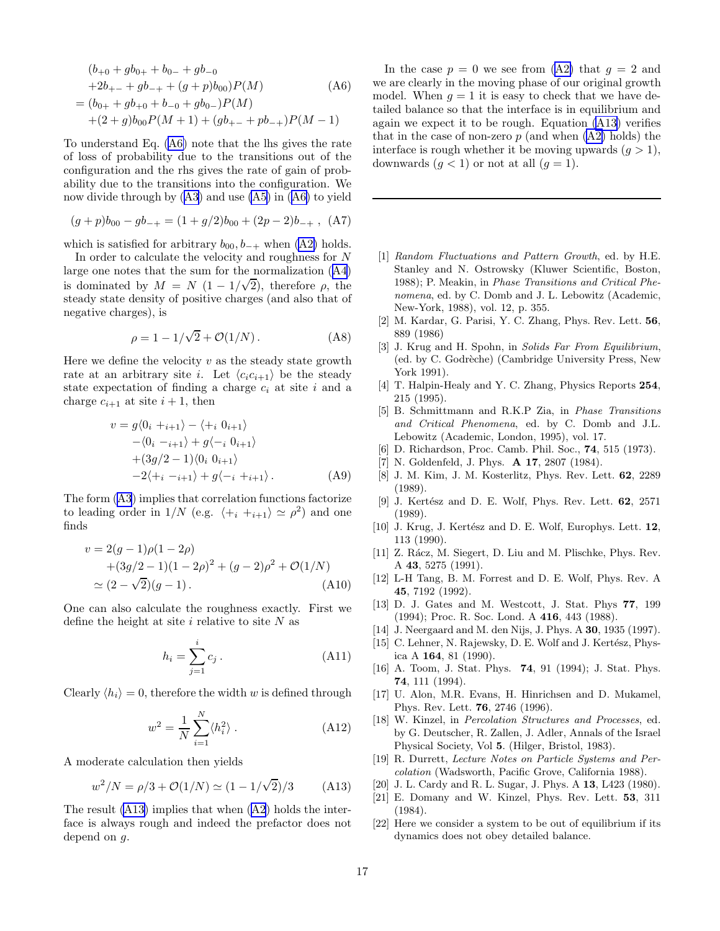<span id="page-16-0"></span>
$$
(b_{+0} + gb_{0+} + b_{0-} + gb_{-0}+2b_{+-} + gb_{-+} + (g+p)b_{00})P(M)
$$
(A6)  
=  $(b_{0+} + gb_{+0} + b_{-0} + g b_{0-})P(M)$   
+ $(2+g)b_{00}P(M+1) + (gb_{+-} + pb_{-+})P(M-1)$ 

To understand Eq. (A6) note that the lhs gives the rate of loss of probability due to the transitions out of the configuration and the rhs gives the rate of gain of probability due to the transitions into the configuration. We now divide through by([A3](#page-15-0)) and use [\(A5\)](#page-15-0) in (A6) to yield

$$
(g+p)b_{00} - gb_{-+} = (1+g/2)b_{00} + (2p-2)b_{-+}, (A7)
$$

which is satisfied for arbitrary  $b_{00}, b_{-+}$  when [\(A2\)](#page-15-0) holds.

In order to calculate the velocity and roughness for N large one notes that the sum for the normalization([A4](#page-15-0)) is dominated by  $M = N(1 - 1/\sqrt{2})$ , therefore  $\rho$ , the steady state density of positive charges (and also that of negative charges), is

$$
\rho = 1 - 1/\sqrt{2} + \mathcal{O}(1/N) . \tag{A8}
$$

Here we define the velocity  $v$  as the steady state growth rate at an arbitrary site i. Let  $\langle c_i c_{i+1} \rangle$  be the steady state expectation of finding a charge  $c_i$  at site i and a charge  $c_{i+1}$  at site  $i+1$ , then

$$
v = g\langle 0_i +_{i+1} \rangle - \langle +_i 0_{i+1} \rangle
$$
  
\n
$$
-\langle 0_i -_{i+1} \rangle + g\langle -_i 0_{i+1} \rangle
$$
  
\n
$$
+ (3g/2 - 1)\langle 0_i 0_{i+1} \rangle
$$
  
\n
$$
-2\langle +_i -_{i+1} \rangle + g\langle -_i +_{i+1} \rangle.
$$
 (A9)

The form([A3](#page-15-0)) implies that correlation functions factorize to leading order in  $1/N$  (e.g.  $\langle +_i +_{i+1} \rangle \simeq \rho^2$ ) and one finds

$$
v = 2(g - 1)\rho(1 - 2\rho)
$$
  
+  $(3g/2 - 1)(1 - 2\rho)^2 + (g - 2)\rho^2 + \mathcal{O}(1/N)$   
 $\simeq (2 - \sqrt{2})(g - 1).$  (A10)

One can also calculate the roughness exactly. First we define the height at site  $i$  relative to site  $N$  as

$$
h_i = \sum_{j=1}^{i} c_j.
$$
 (A11)

Clearly  $\langle h_i \rangle = 0$ , therefore the width w is defined through

$$
w^2 = \frac{1}{N} \sum_{i=1}^{N} \langle h_i^2 \rangle . \tag{A12}
$$

A moderate calculation then yields

$$
w^2/N = \rho/3 + \mathcal{O}(1/N) \simeq (1 - 1/\sqrt{2})/3 \tag{A13}
$$

The result (A13) implies that when([A2](#page-15-0)) holds the interface is always rough and indeed the prefactor does not depend on g.

In the case  $p = 0$  we see from [\(A2\)](#page-15-0) that  $g = 2$  and we are clearly in the moving phase of our original growth model. When  $q = 1$  it is easy to check that we have detailed balance so that the interface is in equilibrium and again we expect it to be rough. Equation (A13) verifies that in the case of non-zero  $p$  (and when  $(A2)$ ) holds) the interface is rough whether it be moving upwards  $(q > 1)$ , downwards  $(q < 1)$  or not at all  $(q = 1)$ .

- [1] *Random Fluctuations and Pattern Growth*, ed. by H.E. Stanley and N. Ostrowsky (Kluwer Scientific, Boston, 1988); P. Meakin, in *Phase Transitions and Critical Phenomena*, ed. by C. Domb and J. L. Lebowitz (Academic, New-York, 1988), vol. 12, p. 355.
- [2] M. Kardar, G. Parisi, Y. C. Zhang, Phys. Rev. Lett. 56, 889 (1986)
- [3] J. Krug and H. Spohn, in *Solids Far From Equilibrium*, (ed. by C. Godrèche) (Cambridge University Press, New York 1991).
- [4] T. Halpin-Healy and Y. C. Zhang, Physics Reports 254, 215 (1995).
- [5] B. Schmittmann and R.K.P Zia, in *Phase Transitions and Critical Phenomena*, ed. by C. Domb and J.L. Lebowitz (Academic, London, 1995), vol. 17.
- [6] D. Richardson, Proc. Camb. Phil. Soc., 74, 515 (1973).
- [7] N. Goldenfeld, J. Phys. **A 17**, 2807 (1984).
- [8] J. M. Kim, J. M. Kosterlitz, Phys. Rev. Lett. 62, 2289 (1989).
- [9] J. Kertész and D. E. Wolf, Phys. Rev. Lett.  $62$ , 2571 (1989).
- [10] J. Krug, J. Kertész and D. E. Wolf, Europhys. Lett.  $12$ , 113 (1990).
- [11] Z. Rácz, M. Siegert, D. Liu and M. Plischke, Phys. Rev. A 43, 5275 (1991).
- [12] L-H Tang, B. M. Forrest and D. E. Wolf, Phys. Rev. A 45, 7192 (1992).
- [13] D. J. Gates and M. Westcott, J. Stat. Phys 77, 199 (1994); Proc. R. Soc. Lond. A 416, 443 (1988).
- [14] J. Neergaard and M. den Nijs, J. Phys. A 30, 1935 (1997).
- [15] C. Lehner, N. Rajewsky, D. E. Wolf and J. Kertész, Physica A 164, 81 (1990).
- [16] A. Toom, J. Stat. Phys. **74**, 91 (1994); J. Stat. Phys. 74, 111 (1994).
- [17] U. Alon, M.R. Evans, H. Hinrichsen and D. Mukamel, Phys. Rev. Lett. 76, 2746 (1996).
- [18] W. Kinzel, in *Percolation Structures and Processes*, ed. by G. Deutscher, R. Zallen, J. Adler, Annals of the Israel Physical Society, Vol 5. (Hilger, Bristol, 1983).
- [19] R. Durrett, *Lecture Notes on Particle Systems and Percolation* (Wadsworth, Pacific Grove, California 1988).
- [20] J. L. Cardy and R. L. Sugar, J. Phys. A **13**, L423 (1980).
- [21] E. Domany and W. Kinzel, Phys. Rev. Lett. 53, 311 (1984).
- [22] Here we consider a system to be out of equilibrium if its dynamics does not obey detailed balance.